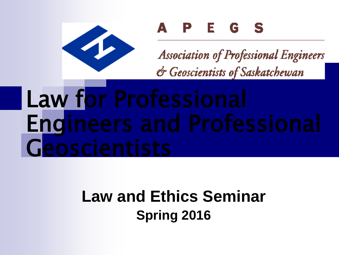

#### A P E G S

**Association of Professional Engineers** & Geoscientists of Saskatchewan

# Law for Professional Engineers and Professional

#### **Law and Ethics Seminar Spring 2016**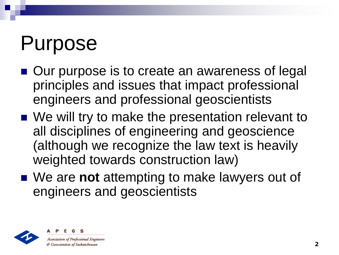### Purpose

- Our purpose is to create an awareness of legal principles and issues that impact professional engineers and professional geoscientists
- We will try to make the presentation relevant to all disciplines of engineering and geoscience (although we recognize the law text is heavily weighted towards construction law)
- We are **not** attempting to make lawyers out of engineers and geoscientists



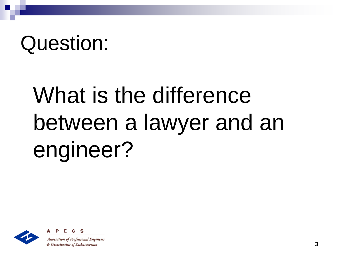### Question:

# What is the difference between a lawyer and an engineer?





**Association of Professional Engineers** & Geoscientists of Saskatchewan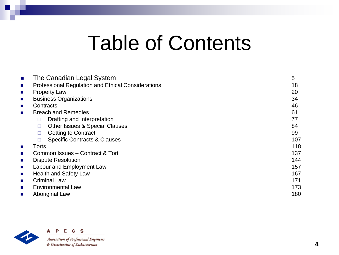#### Table of Contents

| The Canadian Legal System                                 | 5   |
|-----------------------------------------------------------|-----|
| <b>Professional Regulation and Ethical Considerations</b> | 18  |
| <b>Property Law</b>                                       | 20  |
| <b>Business Organizations</b>                             | 34  |
| Contracts                                                 | 46  |
| <b>Breach and Remedies</b>                                | 61  |
| Drafting and Interpretation                               | 77  |
| Other Issues & Special Clauses<br>□                       | 84  |
| <b>Getting to Contract</b><br>□                           | 99  |
| <b>Specific Contracts &amp; Clauses</b>                   | 107 |
| Torts                                                     | 118 |
| Common Issues - Contract & Tort                           | 137 |
| <b>Dispute Resolution</b>                                 | 144 |
| Labour and Employment Law                                 | 157 |
| <b>Health and Safety Law</b>                              | 167 |
| <b>Criminal Law</b>                                       | 171 |
| Environmental Law                                         | 173 |
| Aboriginal Law                                            | 180 |



G S A Р Е

**Association of Professional Engineers** & Geoscientists of Saskatchewan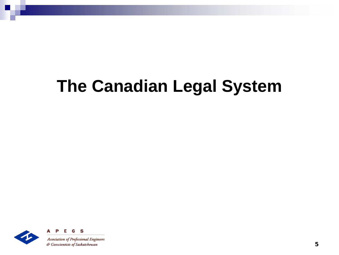#### **The Canadian Legal System**

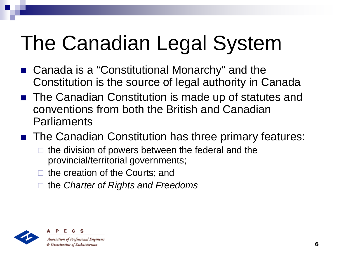# The Canadian Legal System

- Canada is a "Constitutional Monarchy" and the Constitution is the source of legal authority in Canada
- The Canadian Constitution is made up of statutes and conventions from both the British and Canadian Parliaments
- The Canadian Constitution has three primary features:
	- $\Box$  the division of powers between the federal and the provincial/territorial governments;
	- $\Box$  the creation of the Courts; and
	- the *Charter of Rights and Freedoms*

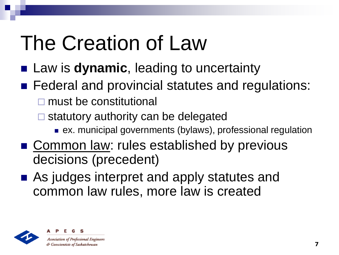# The Creation of Law

- Law is **dynamic**, leading to uncertainty
- Federal and provincial statutes and regulations: **□** must be constitutional
	- $\square$  statutory authority can be delegated
		- ex. municipal governments (bylaws), professional regulation
- Common law: rules established by previous decisions (precedent)
- As judges interpret and apply statutes and common law rules, more law is created



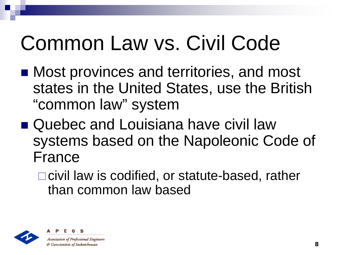# Common Law vs. Civil Code

- Most provinces and territories, and most states in the United States, use the British "common law" system
- Quebec and Louisiana have civil law systems based on the Napoleonic Code of France
	- □ civil law is codified, or statute-based, rather than common law based



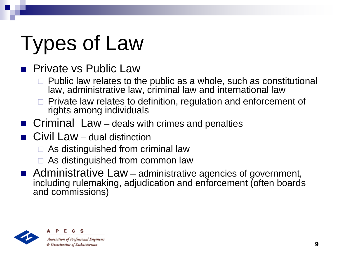# Types of Law

#### **Private vs Public Law**

- $\Box$  Public law relates to the public as a whole, such as constitutional law, administrative law, criminal law and international law
- $\Box$  Private law relates to definition, regulation and enforcement of rights among individuals
- **Criminal Law** deals with crimes and penalties
- Civil Law dual distinction
	- $\Box$  As distinguished from criminal law
	- $\Box$  As distinguished from common law
- Administrative Law administrative agencies of government, including rulemaking, adjudication and enforcement (often boards and commissions)



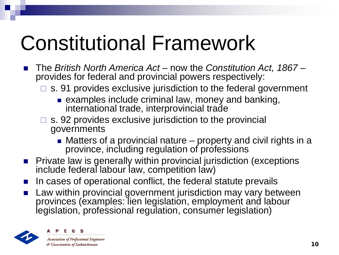# Constitutional Framework

- The *British North America Act* now the *Constitution Act, 1867* provides for federal and provincial powers respectively:
	- □ s. 91 provides exclusive jurisdiction to the federal government
		- **EXAMPLES include criminal law, money and banking,** international trade, interprovincial trade
	- $\square$  s. 92 provides exclusive jurisdiction to the provincial governments
		- Matters of a provincial nature property and civil rights in a province, including regulation of professions
- **Private law is generally within provincial jurisdiction (exceptions** include federal labour law, competition law)
- In cases of operational conflict, the federal statute prevails
- Law within provincial government jurisdiction may vary between provinces (examples: lien legislation, employment and labour legislation, professional regulation, consumer legislation)

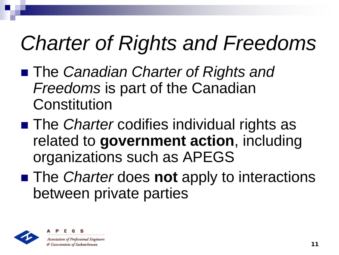# *Charter of Rights and Freedoms*

- The *Canadian Charter of Rights and Freedoms* is part of the Canadian **Constitution**
- The *Charter* codifies individual rights as related to **government action**, including organizations such as APEGS
- The *Charter* does **not** apply to interactions between private parties



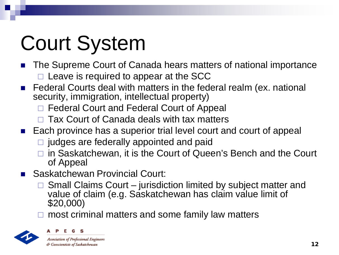# Court System

- The Supreme Court of Canada hears matters of national importance  $\Box$  Leave is required to appear at the SCC
- Federal Courts deal with matters in the federal realm (ex. national security, immigration, intellectual property)
	- □ Federal Court and Federal Court of Appeal
	- $\Box$  Tax Court of Canada deals with tax matters
- Each province has a superior trial level court and court of appeal
	- $\Box$  judges are federally appointed and paid
	- □ in Saskatchewan, it is the Court of Queen's Bench and the Court of Appeal
- Saskatchewan Provincial Court:
	- Small Claims Court jurisdiction limited by subject matter and value of claim (e.g. Saskatchewan has claim value limit of \$20,000)
	- most criminal matters and some family law matters



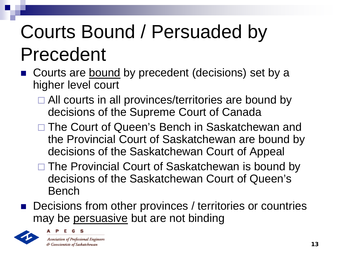### Courts Bound / Persuaded by Precedent

- Courts are bound by precedent (decisions) set by a higher level court
	- □ All courts in all provinces/territories are bound by decisions of the Supreme Court of Canada
	- □ The Court of Queen's Bench in Saskatchewan and the Provincial Court of Saskatchewan are bound by decisions of the Saskatchewan Court of Appeal
	- □ The Provincial Court of Saskatchewan is bound by decisions of the Saskatchewan Court of Queen's Bench
- Decisions from other provinces / territories or countries may be persuasive but are not binding





**Association of Professional Engineers** & Geoscientists of Saskatchewan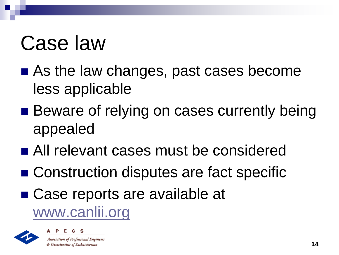# Case law

- As the law changes, past cases become less applicable
- Beware of relying on cases currently being appealed
- All relevant cases must be considered
- Construction disputes are fact specific
- Case reports are available at

[www.canlii.org](http://www.canlii.org/)



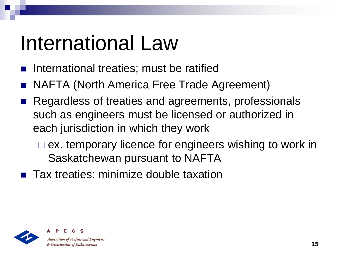# International Law

- International treaties; must be ratified
- NAFTA (North America Free Trade Agreement)
- Regardless of treaties and agreements, professionals such as engineers must be licensed or authorized in each jurisdiction in which they work
	- $\square$  ex. temporary licence for engineers wishing to work in Saskatchewan pursuant to NAFTA
- **Tax treaties: minimize double taxation**



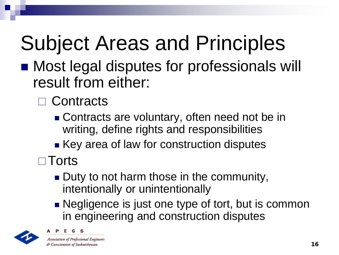# Subject Areas and Principles

- Most legal disputes for professionals will result from either:
	- □ Contracts
		- Contracts are voluntary, often need not be in writing, define rights and responsibilities
		- Key area of law for construction disputes
	- **□ Torts** 
		- Duty to not harm those in the community, intentionally or unintentionally
		- Negligence is just one type of tort, but is common in engineering and construction disputes



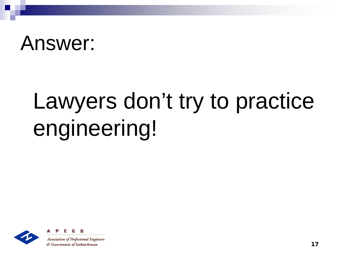#### Answer:

# Lawyers don't try to practice engineering!



S **Association of Professional Engineers**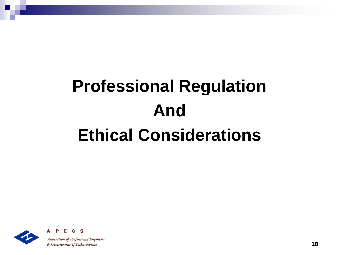### **Professional Regulation And Ethical Considerations**



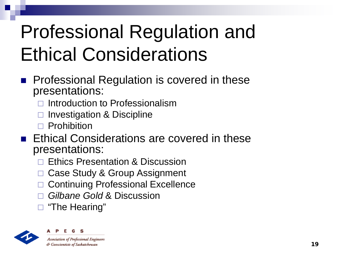#### Professional Regulation and Ethical Considerations

- **Professional Regulation is covered in these** presentations:
	- Introduction to Professionalism
	- Investigation & Discipline
	- $\Box$  Prohibition
- **Ethical Considerations are covered in these** presentations:
	- Ethics Presentation & Discussion
	- Case Study & Group Assignment
	- □ Continuing Professional Excellence
	- *Gilbane Gold* & Discussion
	- □ "The Hearing"



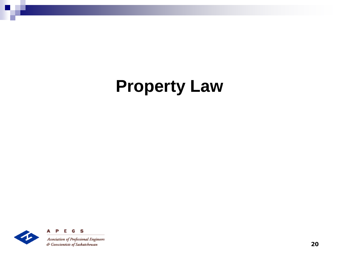#### **Property Law**

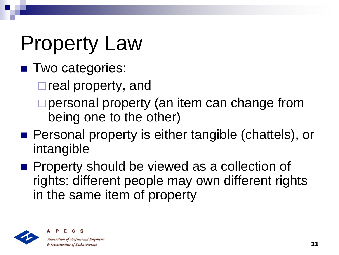## Property Law

- **Two categories:** 
	- $\square$  real property, and
	- □ personal property (an item can change from being one to the other)
- Personal property is either tangible (chattels), or intangible
- **Property should be viewed as a collection of** rights: different people may own different rights in the same item of property



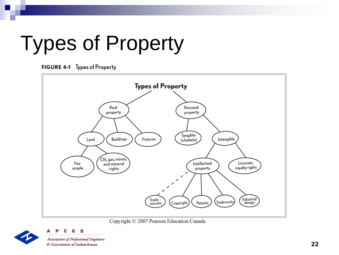# Types of Property



S



Copyright © 2007 Pearson Education Canada



22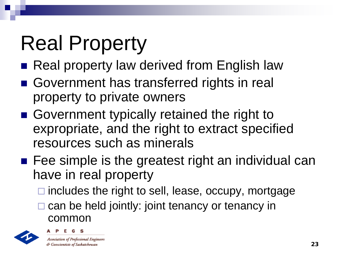# Real Property

- Real property law derived from English law
- Government has transferred rights in real property to private owners
- Government typically retained the right to expropriate, and the right to extract specified resources such as minerals
- **Fee simple is the greatest right an individual can** have in real property
	- $\Box$  includes the right to sell, lease, occupy, mortgage
	- can be held jointly: joint tenancy or tenancy in common

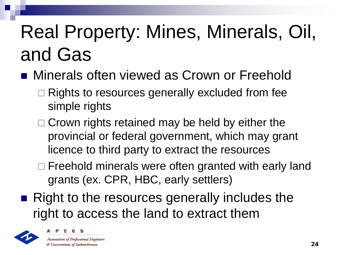#### Real Property: Mines, Minerals, Oil, and Gas

- **Ninerals often viewed as Crown or Freehold** 
	- $\Box$  Rights to resources generally excluded from fee simple rights
	- $\Box$  Crown rights retained may be held by either the provincial or federal government, which may grant licence to third party to extract the resources
	- $\Box$  Freehold minerals were often granted with early land grants (ex. CPR, HBC, early settlers)
- Right to the resources generally includes the right to access the land to extract them



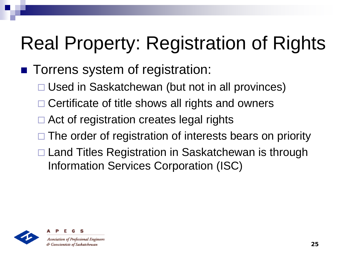#### Real Property: Registration of Rights

#### **Torrens system of registration:**

- □ Used in Saskatchewan (but not in all provinces)
- $\Box$  Certificate of title shows all rights and owners
- Act of registration creates legal rights
- $\Box$  The order of registration of interests bears on priority
- □ Land Titles Registration in Saskatchewan is through Information Services Corporation (ISC)



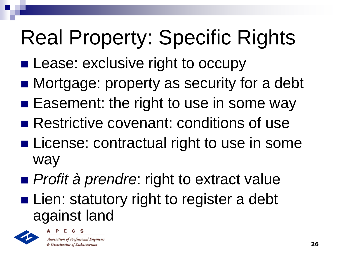# Real Property: Specific Rights

- **Lease: exclusive right to occupy**
- Mortgage: property as security for a debt
- **Easement: the right to use in some way**
- Restrictive covenant: conditions of use
- **License: contractual right to use in some** way
- *Profit à prendre*: right to extract value
- **Lien: statutory right to register a debt** against land

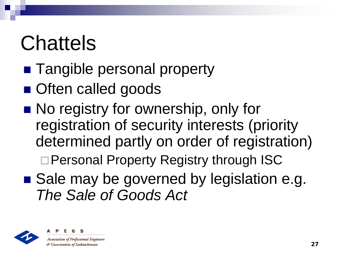# **Chattels**

- Tangible personal property
- **Often called goods**
- No registry for ownership, only for registration of security interests (priority determined partly on order of registration) □ Personal Property Registry through ISC
- Sale may be governed by legislation e.g. *The Sale of Goods Act*





& Geoscientists of Saskatchewan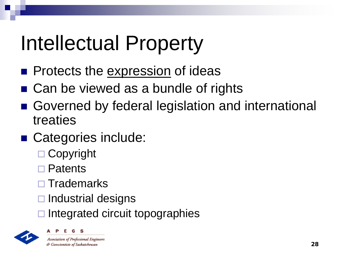# Intellectual Property

- **Protects the expression of ideas**
- Can be viewed as a bundle of rights
- Governed by federal legislation and international treaties
- Categories include:
	- **□ Copyright**
	- □ Patents
	- $\square$  Trademarks
	- $\Box$  Industrial designs
	- Integrated circuit topographies



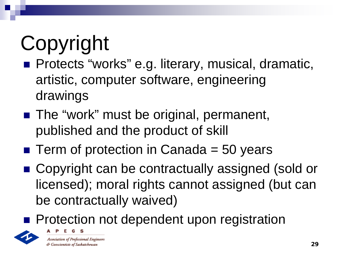# Copyright

- **Protects "works" e.g. literary, musical, dramatic,** artistic, computer software, engineering drawings
- The "work" must be original, permanent, published and the product of skill
- $\blacksquare$  Term of protection in Canada = 50 years
- Copyright can be contractually assigned (sold or licensed); moral rights cannot assigned (but can be contractually waived)
- **Protection not dependent upon registration**

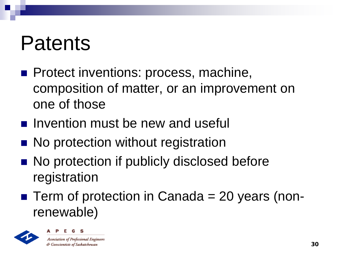#### Patents

- **Protect inventions: process, machine,** composition of matter, or an improvement on one of those
- $\blacksquare$  Invention must be new and useful
- No protection without registration
- No protection if publicly disclosed before registration
- $\blacksquare$  Term of protection in Canada = 20 years (nonrenewable)



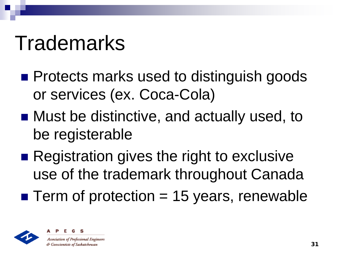#### Trademarks

- **Protects marks used to distinguish goods** or services (ex. Coca-Cola)
- Must be distinctive, and actually used, to be registerable
- Registration gives the right to exclusive use of the trademark throughout Canada
- $\blacksquare$  Term of protection = 15 years, renewable



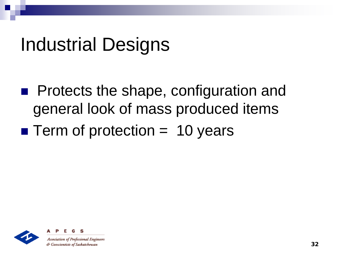#### Industrial Designs

- **Protects the shape, configuration and** general look of mass produced items
- $\blacksquare$  Term of protection  $=$  10 years



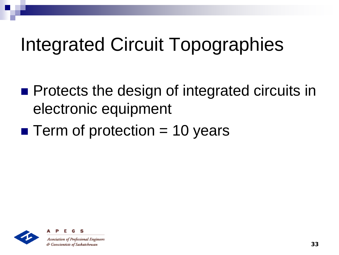#### Integrated Circuit Topographies

- **Protects the design of integrated circuits in** electronic equipment
- $\blacksquare$  Term of protection = 10 years



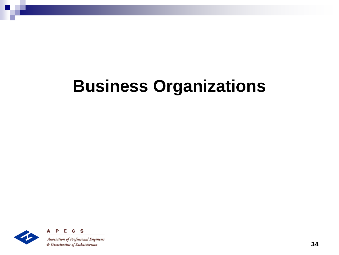#### **Business Organizations**

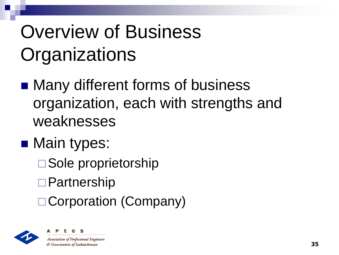### Overview of Business **Organizations**

- Many different forms of business organization, each with strengths and weaknesses
- Main types:
	- □ Sole proprietorship
	- □ Partnership
	- □ Corporation (Company)



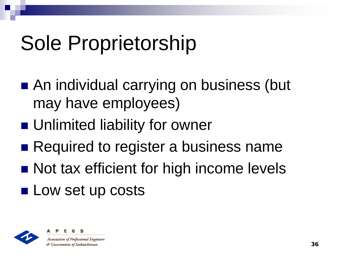# Sole Proprietorship

- An individual carrying on business (but may have employees)
- **Unlimited liability for owner**
- Required to register a business name
- Not tax efficient for high income levels
- **Low set up costs**



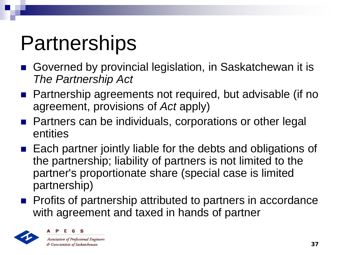## **Partnerships**

- Governed by provincial legislation, in Saskatchewan it is *The Partnership Act*
- Partnership agreements not required, but advisable (if no agreement, provisions of *Act* apply)
- Partners can be individuals, corporations or other legal entities
- $\blacksquare$  Each partner jointly liable for the debts and obligations of the partnership; liability of partners is not limited to the partner's proportionate share (special case is limited partnership)
- **Profits of partnership attributed to partners in accordance** with agreement and taxed in hands of partner



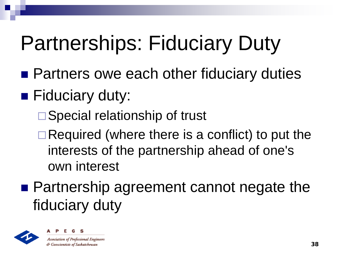## Partnerships: Fiduciary Duty

- **Partners owe each other fiduciary duties**
- **Fiduciary duty:** 
	- □ Special relationship of trust
	- $\Box$  Required (where there is a conflict) to put the interests of the partnership ahead of one's own interest
- Partnership agreement cannot negate the fiduciary duty



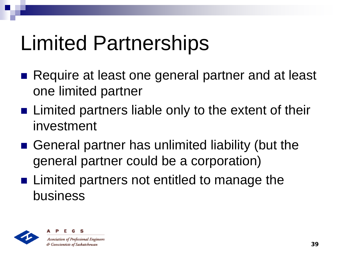## Limited Partnerships

- Require at least one general partner and at least one limited partner
- **E** Limited partners liable only to the extent of their investment
- General partner has unlimited liability (but the general partner could be a corporation)
- Limited partners not entitled to manage the business



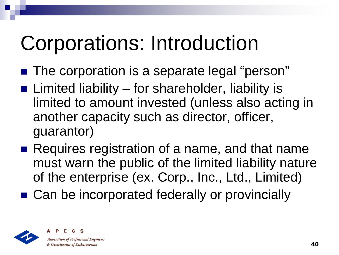## Corporations: Introduction

- The corporation is a separate legal "person"
- **E** Limited liability for shareholder, liability is limited to amount invested (unless also acting in another capacity such as director, officer, guarantor)
- Requires registration of a name, and that name must warn the public of the limited liability nature of the enterprise (ex. Corp., Inc., Ltd., Limited)
- Can be incorporated federally or provincially



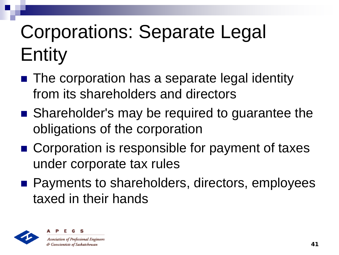## Corporations: Separate Legal Entity

- The corporation has a separate legal identity from its shareholders and directors
- Shareholder's may be required to guarantee the obligations of the corporation
- Corporation is responsible for payment of taxes under corporate tax rules
- Payments to shareholders, directors, employees taxed in their hands



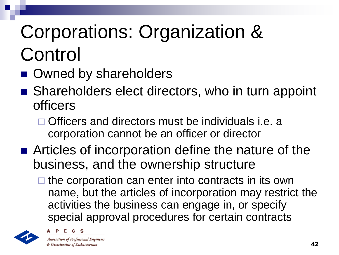#### Corporations: Organization & Control

- Owned by shareholders
- Shareholders elect directors, who in turn appoint officers
	- $\Box$  Officers and directors must be individuals i.e. a corporation cannot be an officer or director
- Articles of incorporation define the nature of the business, and the ownership structure
	- $\Box$  the corporation can enter into contracts in its own name, but the articles of incorporation may restrict the activities the business can engage in, or specify special approval procedures for certain contracts





**Association of Professional Engineers** & Geoscientists of Saskatchewan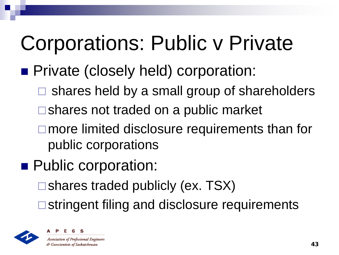## Corporations: Public v Private

#### **Private (closely held) corporation:**

- $\Box$  shares held by a small group of shareholders
- $\square$  shares not traded on a public market
- □ more limited disclosure requirements than for public corporations
- **Public corporation:** 
	- $\square$  shares traded publicly (ex. TSX)
	- **□** stringent filing and disclosure requirements



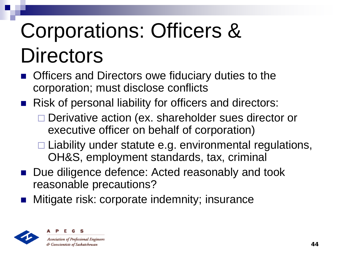# Corporations: Officers & **Directors**

- Officers and Directors owe fiduciary duties to the corporation; must disclose conflicts
- Risk of personal liability for officers and directors:
	- □ Derivative action (ex. shareholder sues director or executive officer on behalf of corporation)
	- $\Box$  Liability under statute e.g. environmental regulations, OH&S, employment standards, tax, criminal
- Due diligence defence: Acted reasonably and took reasonable precautions?
- Mitigate risk: corporate indemnity; insurance



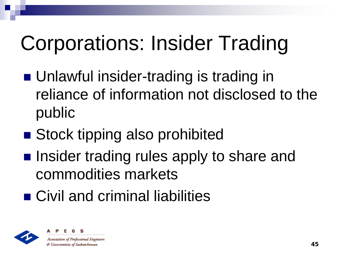# Corporations: Insider Trading

- **Unlawful insider-trading is trading in** reliance of information not disclosed to the public
- Stock tipping also prohibited
- **Insider trading rules apply to share and** commodities markets
- Civil and criminal liabilities



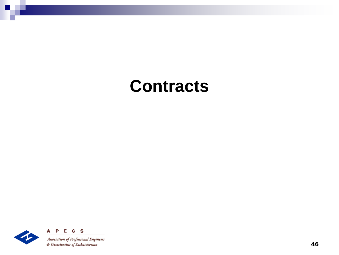#### **Contracts**

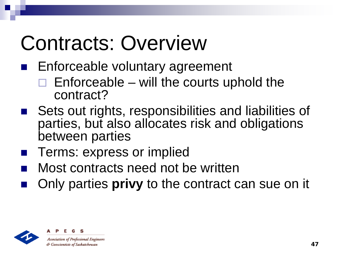## Contracts: Overview

- Enforceable voluntary agreement
	- $\Box$  Enforceable will the courts uphold the contract?
- Sets out rights, responsibilities and liabilities of parties, but also allocates risk and obligations between parties
- Terms: express or implied
- Most contracts need not be written
- Only parties **privy** to the contract can sue on it



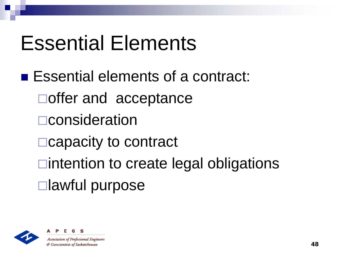#### Essential Elements

■ Essential elements of a contract: □ offer and acceptance **□**consideration □ capacity to contract  $\Box$ intention to create legal obligations lawful purpose



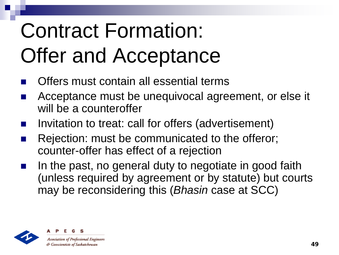# Contract Formation: Offer and Acceptance

- Offers must contain all essential terms
- Acceptance must be unequivocal agreement, or else it will be a counteroffer
- Invitation to treat: call for offers (advertisement)
- Rejection: must be communicated to the offeror; counter-offer has effect of a rejection
- In the past, no general duty to negotiate in good faith (unless required by agreement or by statute) but courts may be reconsidering this (*Bhasin* case at SCC)



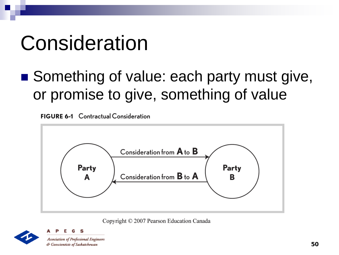## Consideration

■ Something of value: each party must give, or promise to give, something of value

**FIGURE 6-1** Contractual Consideration



Copyright © 2007 Pearson Education Canada

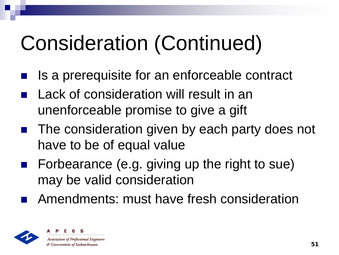## Consideration (Continued)

- Is a prerequisite for an enforceable contract
- Lack of consideration will result in an unenforceable promise to give a gift
- The consideration given by each party does not have to be of equal value
- Forbearance (e.g. giving up the right to sue) may be valid consideration
- Amendments: must have fresh consideration



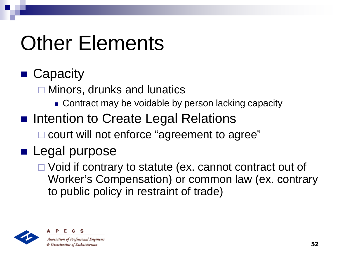## Other Elements

#### ■ Capacity

□ Minors, drunks and lunatics

- Contract may be voidable by person lacking capacity
- Intention to Create Legal Relations
	- □ court will not enforce "agreement to agree"

#### **Legal purpose**

□ Void if contrary to statute (ex. cannot contract out of Worker's Compensation) or common law (ex. contrary to public policy in restraint of trade)



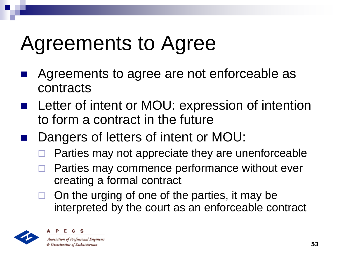#### Agreements to Agree

- Agreements to agree are not enforceable as contracts
- Letter of intent or MOU: expression of intention to form a contract in the future
- Dangers of letters of intent or MOU:
	- Parties may not appreciate they are unenforceable
	- Parties may commence performance without ever creating a formal contract
	- On the urging of one of the parties, it may be interpreted by the court as an enforceable contract



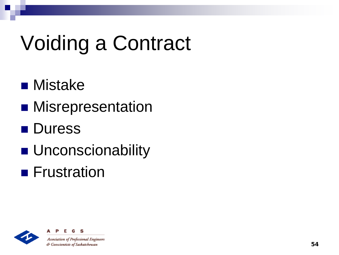# Voiding a Contract

- **n** Mistake
- **Misrepresentation**
- **Duress**
- **Unconscionability**
- **Frustration**



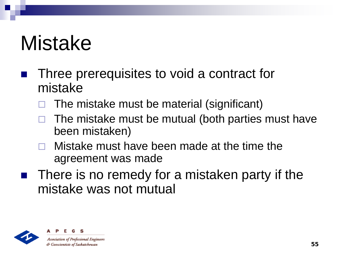#### Mistake

- Three prerequisites to void a contract for mistake
	- The mistake must be material (significant)
	- The mistake must be mutual (both parties must have been mistaken)
	- Mistake must have been made at the time the agreement was made
- There is no remedy for a mistaken party if the mistake was not mutual



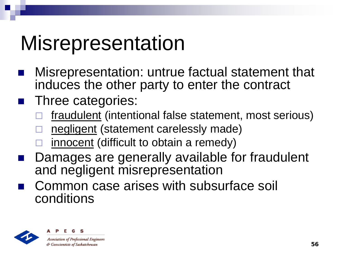#### **Misrepresentation**

- Misrepresentation: untrue factual statement that induces the other party to enter the contract
- **Three categories:** 
	- fraudulent (intentional false statement, most serious)
	- negligent (statement carelessly made)
	- innocent (difficult to obtain a remedy)
- Damages are generally available for fraudulent and negligent misrepresentation
- Common case arises with subsurface soil conditions



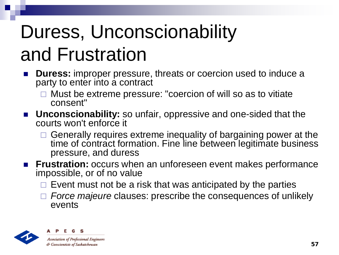#### Duress, Unconscionability and Frustration

- **Duress:** improper pressure, threats or coercion used to induce a party to enter into a contract
	- $\Box$  Must be extreme pressure: "coercion of will so as to vitiate consent"
- **Unconscionability:** so unfair, oppressive and one-sided that the courts won't enforce it
	- $\Box$  Generally requires extreme inequality of bargaining power at the time of contract formation. Fine line between legitimate business pressure, and duress
- **Frustration:** occurs when an unforeseen event makes performance impossible, or of no value
	- $\Box$  Event must not be a risk that was anticipated by the parties
	- *Force majeure* clauses: prescribe the consequences of unlikely events



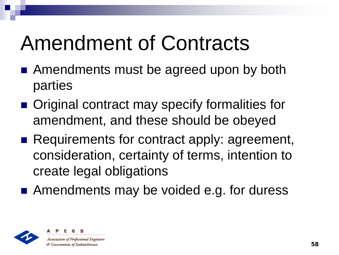## Amendment of Contracts

- Amendments must be agreed upon by both parties
- Original contract may specify formalities for amendment, and these should be obeyed
- Requirements for contract apply: agreement, consideration, certainty of terms, intention to create legal obligations
- Amendments may be voided e.g. for duress



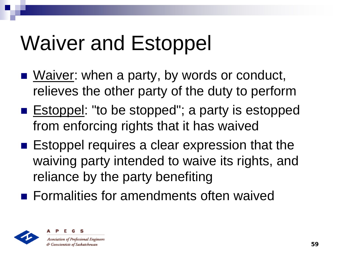## Waiver and Estoppel

- Waiver: when a party, by words or conduct, relieves the other party of the duty to perform
- Estoppel: "to be stopped"; a party is estopped from enforcing rights that it has waived
- Estoppel requires a clear expression that the waiving party intended to waive its rights, and reliance by the party benefiting
- **Formalities for amendments often waived**



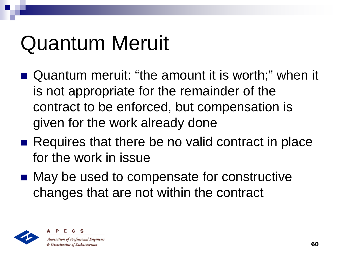## Quantum Meruit

- Quantum meruit: "the amount it is worth;" when it is not appropriate for the remainder of the contract to be enforced, but compensation is given for the work already done
- Requires that there be no valid contract in place for the work in issue
- May be used to compensate for constructive changes that are not within the contract



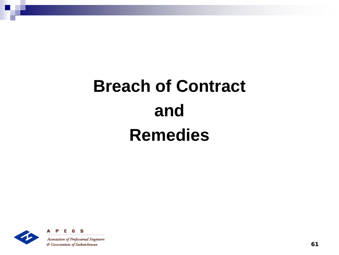#### **Breach of Contract and Remedies**



S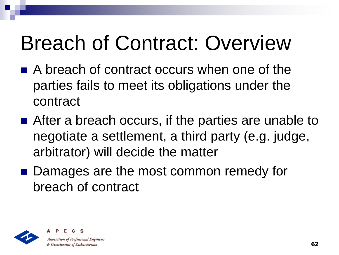## Breach of Contract: Overview

- A breach of contract occurs when one of the parties fails to meet its obligations under the contract
- After a breach occurs, if the parties are unable to negotiate a settlement, a third party (e.g. judge, arbitrator) will decide the matter
- Damages are the most common remedy for breach of contract



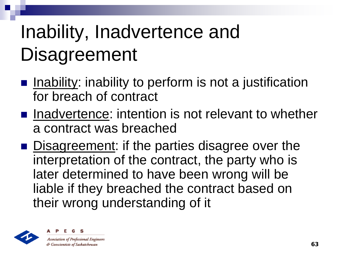#### Inability, Inadvertence and **Disagreement**

- $\blacksquare$  Inability: inability to perform is not a justification for breach of contract
- $\blacksquare$  Inadvertence: intention is not relevant to whether a contract was breached
- Disagreement: if the parties disagree over the interpretation of the contract, the party who is later determined to have been wrong will be liable if they breached the contract based on their wrong understanding of it



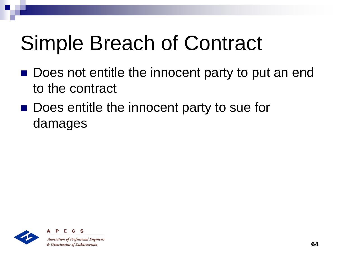## Simple Breach of Contract

- Does not entitle the innocent party to put an end to the contract
- Does entitle the innocent party to sue for damages

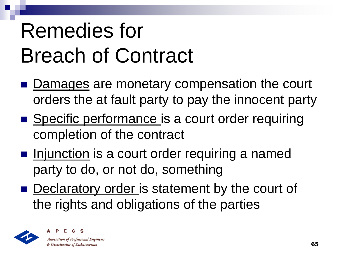# Remedies for Breach of Contract

- Damages are monetary compensation the court orders the at fault party to pay the innocent party
- Specific performance is a court order requiring completion of the contract
- **Injunction is a court order requiring a named** party to do, or not do, something
- Declaratory order is statement by the court of the rights and obligations of the parties



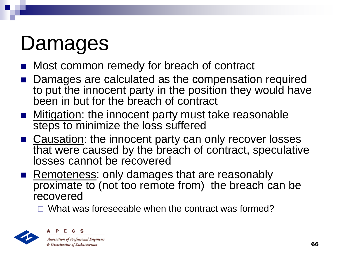## Damages

- Most common remedy for breach of contract
- Damages are calculated as the compensation required to put the innocent party in the position they would have been in but for the breach of contract
- Mitigation: the innocent party must take reasonable steps to minimize the loss suffered
- Causation: the innocent party can only recover losses that were caused by the breach of contract, speculative losses cannot be recovered
- Remoteness: only damages that are reasonably proximate to (not too remote from) the breach can be recovered

 $\Box$  What was foreseeable when the contract was formed?



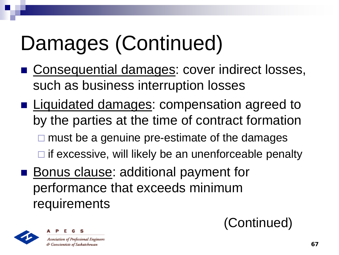# Damages (Continued)

- **Consequential damages: cover indirect losses,** such as business interruption losses
- **Liquidated damages: compensation agreed to** by the parties at the time of contract formation
	- $\square$  must be a genuine pre-estimate of the damages
	- $\Box$  if excessive, will likely be an unenforceable penalty
- **Bonus clause: additional payment for** performance that exceeds minimum requirements



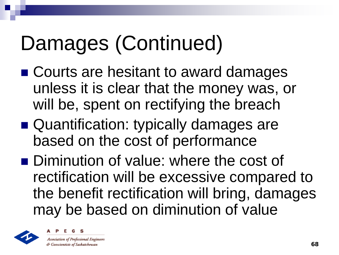## Damages (Continued)

- Courts are hesitant to award damages unless it is clear that the money was, or will be, spent on rectifying the breach
- Quantification: typically damages are based on the cost of performance
- Diminution of value: where the cost of rectification will be excessive compared to the benefit rectification will bring, damages may be based on diminution of value



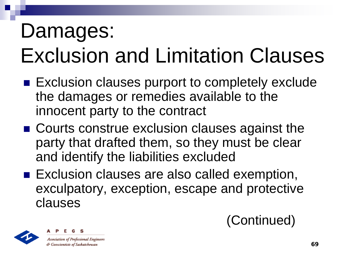## Damages: Exclusion and Limitation Clauses

- Exclusion clauses purport to completely exclude the damages or remedies available to the innocent party to the contract
- Courts construe exclusion clauses against the party that drafted them, so they must be clear and identify the liabilities excluded
- Exclusion clauses are also called exemption, exculpatory, exception, escape and protective clauses

(Continued)

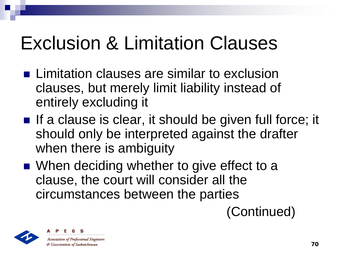#### Exclusion & Limitation Clauses

- **Limitation clauses are similar to exclusion** clauses, but merely limit liability instead of entirely excluding it
- $\blacksquare$  If a clause is clear, it should be given full force; it should only be interpreted against the drafter when there is ambiguity
- When deciding whether to give effect to a clause, the court will consider all the circumstances between the parties

(Continued)



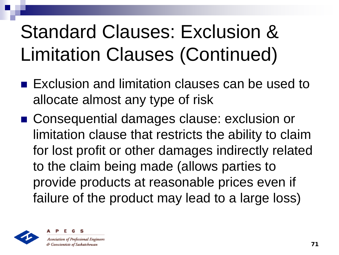#### Standard Clauses: Exclusion & Limitation Clauses (Continued)

- **Exclusion and limitation clauses can be used to** allocate almost any type of risk
- Consequential damages clause: exclusion or limitation clause that restricts the ability to claim for lost profit or other damages indirectly related to the claim being made (allows parties to provide products at reasonable prices even if failure of the product may lead to a large loss)



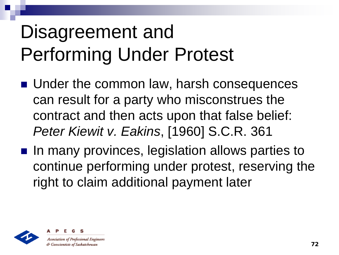#### Disagreement and Performing Under Protest

- **Under the common law, harsh consequences** can result for a party who misconstrues the contract and then acts upon that false belief: *Peter Kiewit v. Eakins*, [1960] S.C.R. 361
- In many provinces, legislation allows parties to continue performing under protest, reserving the right to claim additional payment later



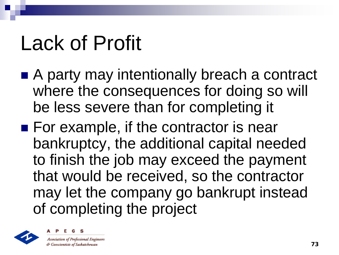## Lack of Profit

- A party may intentionally breach a contract where the consequences for doing so will be less severe than for completing it
- For example, if the contractor is near bankruptcy, the additional capital needed to finish the job may exceed the payment that would be received, so the contractor may let the company go bankrupt instead of completing the project



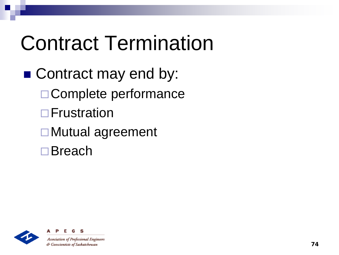## Contract Termination

■ Contract may end by: □ Complete performance **D**Frustration Mutual agreement □ Breach



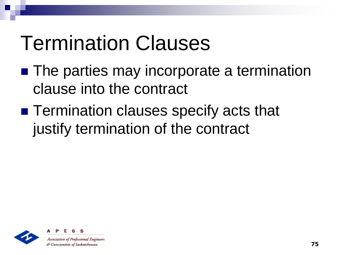#### Termination Clauses

- The parties may incorporate a termination clause into the contract
- Termination clauses specify acts that justify termination of the contract

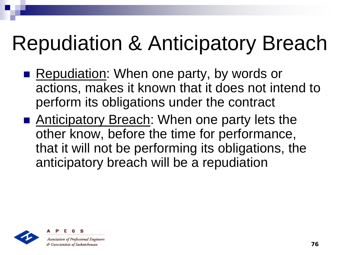## Repudiation & Anticipatory Breach

- Repudiation: When one party, by words or actions, makes it known that it does not intend to perform its obligations under the contract
- Anticipatory Breach: When one party lets the other know, before the time for performance, that it will not be performing its obligations, the anticipatory breach will be a repudiation



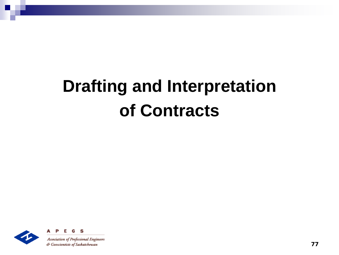#### **Drafting and Interpretation of Contracts**

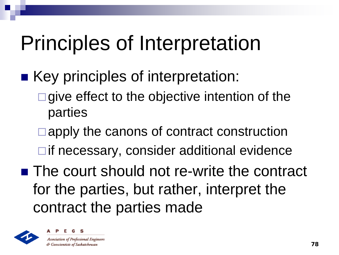### Principles of Interpretation

- Key principles of interpretation:
	- $\Box$  give effect to the objective intention of the parties
	- **□ apply the canons of contract construction**  $\Box$  if necessary, consider additional evidence
- The court should not re-write the contract for the parties, but rather, interpret the contract the parties made



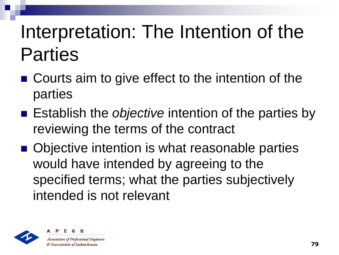#### Interpretation: The Intention of the Parties

- Courts aim to give effect to the intention of the parties
- Establish the *objective* intention of the parties by reviewing the terms of the contract
- Objective intention is what reasonable parties would have intended by agreeing to the specified terms; what the parties subjectively intended is not relevant



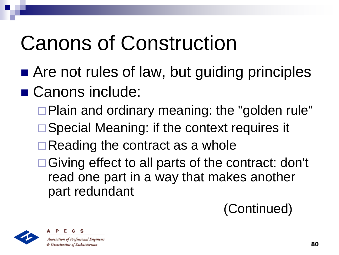### Canons of Construction

- Are not rules of law, but guiding principles
- Canons include:
	- □ Plain and ordinary meaning: the "golden rule"
	- □ Special Meaning: if the context requires it
	- $\Box$  Reading the contract as a whole
	- □Giving effect to all parts of the contract: don't read one part in a way that makes another part redundant





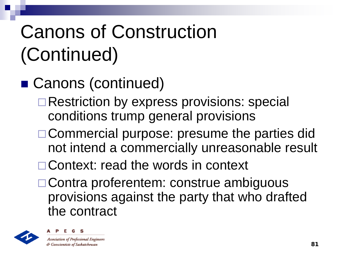#### Canons of Construction (Continued)

#### ■ Canons (continued)

- □ Restriction by express provisions: special conditions trump general provisions
- □ Commercial purpose: presume the parties did not intend a commercially unreasonable result
- □ Context: read the words in context
- □ Contra proferentem: construe ambiguous provisions against the party that who drafted the contract



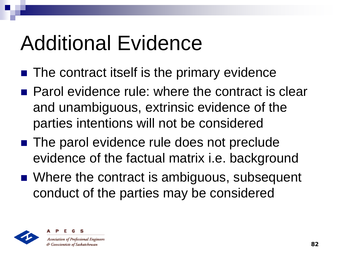#### Additional Evidence

- $\blacksquare$  The contract itself is the primary evidence
- Parol evidence rule: where the contract is clear and unambiguous, extrinsic evidence of the parties intentions will not be considered
- The parol evidence rule does not preclude evidence of the factual matrix i.e. background
- Where the contract is ambiguous, subsequent conduct of the parties may be considered



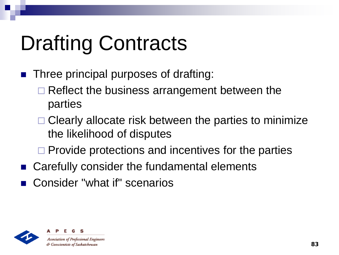# Drafting Contracts

- Three principal purposes of drafting:
	- $\Box$  Reflect the business arrangement between the parties
	- $\Box$  Clearly allocate risk between the parties to minimize the likelihood of disputes
	- $\Box$  Provide protections and incentives for the parties
- Carefully consider the fundamental elements
- Consider "what if" scenarios

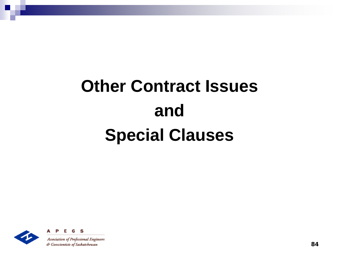#### **Other Contract Issues and Special Clauses**



**Association of Professional Engineers** & Geoscientists of Saskatchewan

G S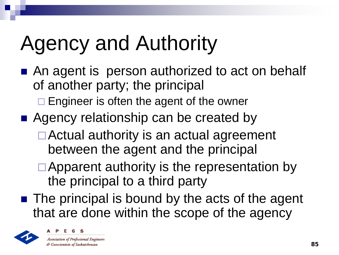## Agency and Authority

- An agent is person authorized to act on behalf of another party; the principal
	- $\Box$  Engineer is often the agent of the owner
- Agency relationship can be created by
	- Actual authority is an actual agreement between the agent and the principal
	- $\Box$  Apparent authority is the representation by the principal to a third party
- $\blacksquare$  The principal is bound by the acts of the agent that are done within the scope of the agency



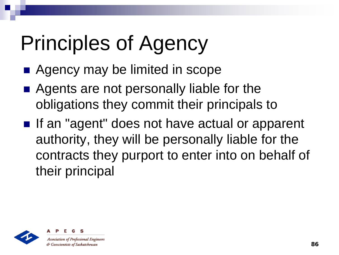## Principles of Agency

- Agency may be limited in scope
- Agents are not personally liable for the obligations they commit their principals to
- If an "agent" does not have actual or apparent authority, they will be personally liable for the contracts they purport to enter into on behalf of their principal



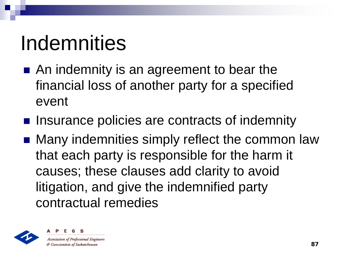### Indemnities

- An indemnity is an agreement to bear the financial loss of another party for a specified event
- Insurance policies are contracts of indemnity
- Many indemnities simply reflect the common law that each party is responsible for the harm it causes; these clauses add clarity to avoid litigation, and give the indemnified party contractual remedies



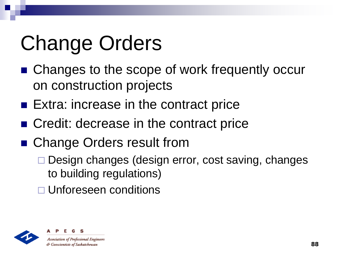# Change Orders

- Changes to the scope of work frequently occur on construction projects
- Extra: increase in the contract price
- Credit: decrease in the contract price
- Change Orders result from
	- □ Design changes (design error, cost saving, changes to building regulations)
	- □ Unforeseen conditions



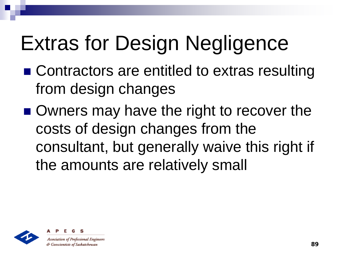# Extras for Design Negligence

- Contractors are entitled to extras resulting from design changes
- Owners may have the right to recover the costs of design changes from the consultant, but generally waive this right if the amounts are relatively small



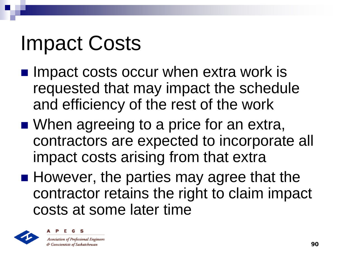#### Impact Costs

- $\blacksquare$  Impact costs occur when extra work is requested that may impact the schedule and efficiency of the rest of the work
- When agreeing to a price for an extra, contractors are expected to incorporate all impact costs arising from that extra
- However, the parties may agree that the contractor retains the right to claim impact costs at some later time



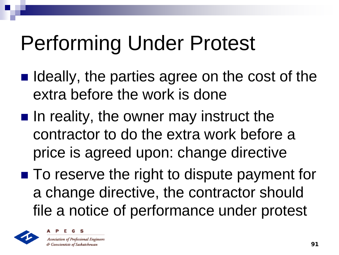### Performing Under Protest

- $\blacksquare$  Ideally, the parties agree on the cost of the extra before the work is done
- $\blacksquare$  In reality, the owner may instruct the contractor to do the extra work before a price is agreed upon: change directive
- To reserve the right to dispute payment for a change directive, the contractor should file a notice of performance under protest



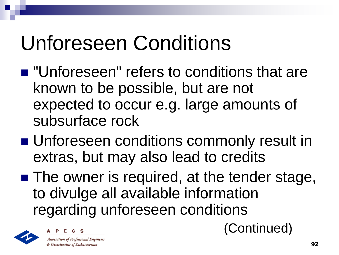## Unforeseen Conditions

- $\blacksquare$  "Unforeseen" refers to conditions that are known to be possible, but are not expected to occur e.g. large amounts of subsurface rock
- **Unforeseen conditions commonly result in** extras, but may also lead to credits
- The owner is required, at the tender stage, to divulge all available information regarding unforeseen conditions





(Continued)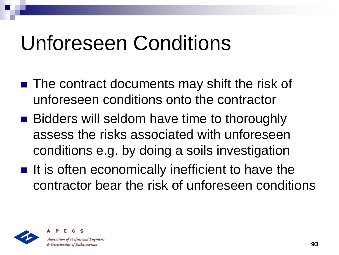#### Unforeseen Conditions

- The contract documents may shift the risk of unforeseen conditions onto the contractor
- Bidders will seldom have time to thoroughly assess the risks associated with unforeseen conditions e.g. by doing a soils investigation
- $\blacksquare$  It is often economically inefficient to have the contractor bear the risk of unforeseen conditions



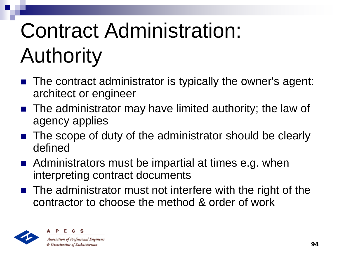# Contract Administration: Authority

- The contract administrator is typically the owner's agent: architect or engineer
- The administrator may have limited authority; the law of agency applies
- The scope of duty of the administrator should be clearly defined
- Administrators must be impartial at times e.g. when interpreting contract documents
- The administrator must not interfere with the right of the contractor to choose the method & order of work



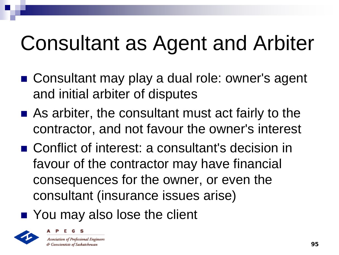### Consultant as Agent and Arbiter

- Consultant may play a dual role: owner's agent and initial arbiter of disputes
- As arbiter, the consultant must act fairly to the contractor, and not favour the owner's interest
- Conflict of interest: a consultant's decision in favour of the contractor may have financial consequences for the owner, or even the consultant (insurance issues arise)
- You may also lose the client



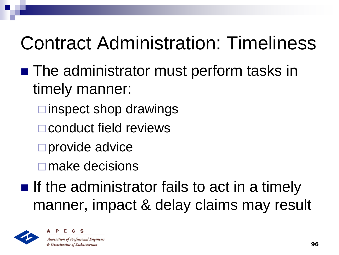#### Contract Administration: Timeliness

- The administrator must perform tasks in timely manner:
	- $\square$  inspect shop drawings
	- **□ conduct field reviews**
	- □ provide advice
	- **□** make decisions
- $\blacksquare$  If the administrator fails to act in a timely manner, impact & delay claims may result



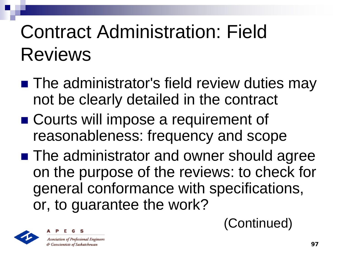#### Contract Administration: Field Reviews

- The administrator's field review duties may not be clearly detailed in the contract
- Courts will impose a requirement of reasonableness: frequency and scope
- **The administrator and owner should agree** on the purpose of the reviews: to check for general conformance with specifications, or, to guarantee the work?





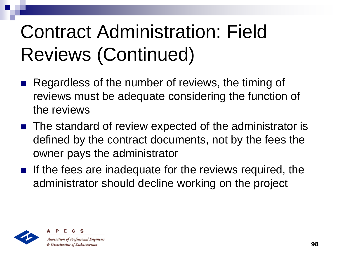#### Contract Administration: Field Reviews (Continued)

- Regardless of the number of reviews, the timing of reviews must be adequate considering the function of the reviews
- The standard of review expected of the administrator is defined by the contract documents, not by the fees the owner pays the administrator
- If the fees are inadequate for the reviews required, the administrator should decline working on the project



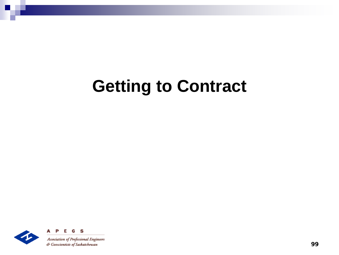#### **Getting to Contract**

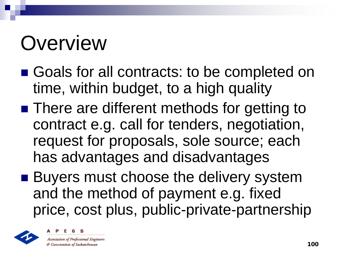### **Overview**

- Goals for all contracts: to be completed on time, within budget, to a high quality
- There are different methods for getting to contract e.g. call for tenders, negotiation, request for proposals, sole source; each has advantages and disadvantages
- **Buyers must choose the delivery system** and the method of payment e.g. fixed price, cost plus, public-private-partnership



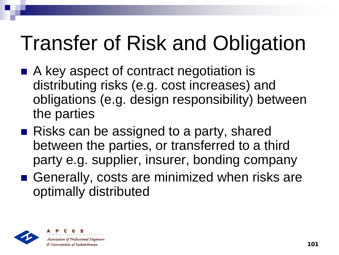# Transfer of Risk and Obligation

- A key aspect of contract negotiation is distributing risks (e.g. cost increases) and obligations (e.g. design responsibility) between the parties
- Risks can be assigned to a party, shared between the parties, or transferred to a third party e.g. supplier, insurer, bonding company
- Generally, costs are minimized when risks are optimally distributed



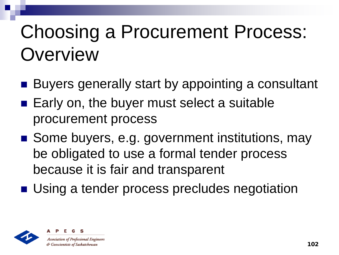#### Choosing a Procurement Process: **Overview**

- Buyers generally start by appointing a consultant
- Early on, the buyer must select a suitable procurement process
- Some buyers, e.g. government institutions, may be obligated to use a formal tender process because it is fair and transparent
- Using a tender process precludes negotiation



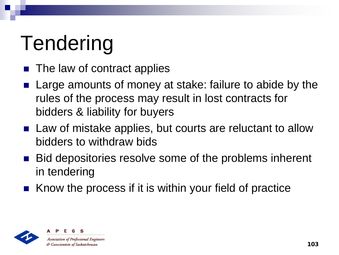# Tendering

- The law of contract applies
- Large amounts of money at stake: failure to abide by the rules of the process may result in lost contracts for bidders & liability for buyers
- Law of mistake applies, but courts are reluctant to allow bidders to withdraw bids
- Bid depositories resolve some of the problems inherent in tendering
- Know the process if it is within your field of practice

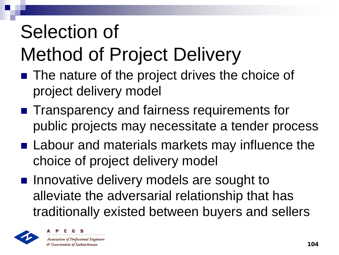#### Selection of Method of Project Delivery

- The nature of the project drives the choice of project delivery model
- **Transparency and fairness requirements for** public projects may necessitate a tender process
- Labour and materials markets may influence the choice of project delivery model
- **Innovative delivery models are sought to** alleviate the adversarial relationship that has traditionally existed between buyers and sellers



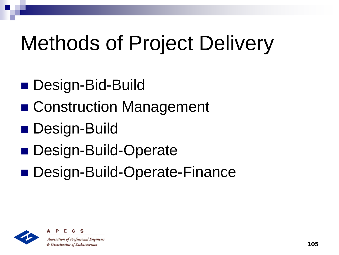## Methods of Project Delivery

- Design-Bid-Build
- Construction Management
- Design-Build
- Design-Build-Operate
- Design-Build-Operate-Finance



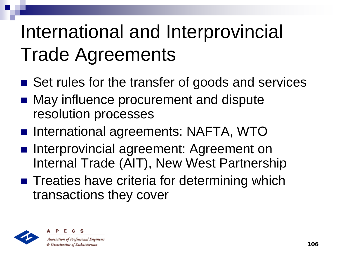#### International and Interprovincial Trade Agreements

- Set rules for the transfer of goods and services
- May influence procurement and dispute resolution processes
- International agreements: NAFTA, WTO
- **Interprovincial agreement: Agreement on** Internal Trade (AIT), New West Partnership
- Treaties have criteria for determining which transactions they cover



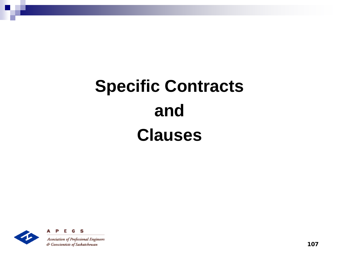#### **Specific Contracts and Clauses**



S

107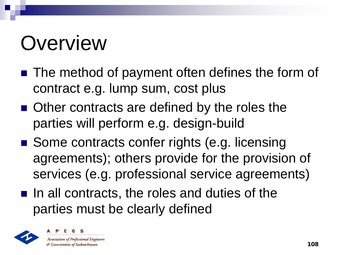## **Overview**

- The method of payment often defines the form of contract e.g. lump sum, cost plus
- Other contracts are defined by the roles the parties will perform e.g. design-build
- Some contracts confer rights (e.g. licensing agreements); others provide for the provision of services (e.g. professional service agreements)
- $\blacksquare$  In all contracts, the roles and duties of the parties must be clearly defined



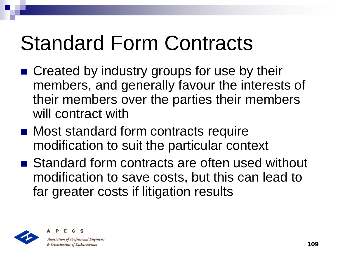#### Standard Form Contracts

- Created by industry groups for use by their members, and generally favour the interests of their members over the parties their members will contract with
- Most standard form contracts require modification to suit the particular context
- Standard form contracts are often used without modification to save costs, but this can lead to far greater costs if litigation results



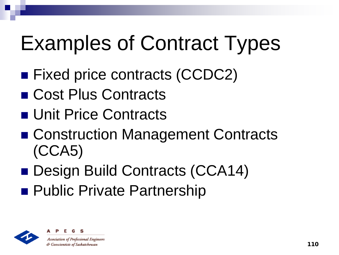# Examples of Contract Types

- Fixed price contracts (CCDC2)
- Cost Plus Contracts
- Unit Price Contracts
- Construction Management Contracts (CCA5)
- Design Build Contracts (CCA14)
- **Public Private Partnership**



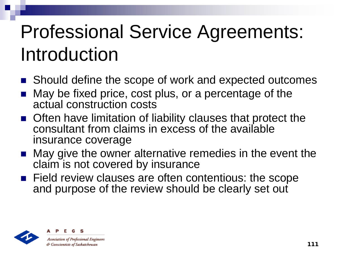#### Professional Service Agreements: Introduction

- Should define the scope of work and expected outcomes
- May be fixed price, cost plus, or a percentage of the actual construction costs
- **Often have limitation of liability clauses that protect the** consultant from claims in excess of the available insurance coverage
- May give the owner alternative remedies in the event the claim is not covered by insurance
- **Field review clauses are often contentious: the scope** and purpose of the review should be clearly set out



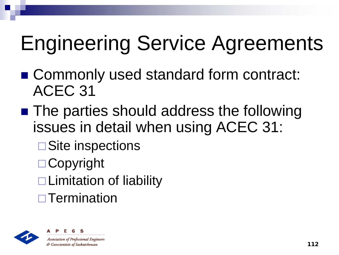# Engineering Service Agreements

- Commonly used standard form contract: ACEC 31
- The parties should address the following issues in detail when using ACEC 31:
	- **□Site inspections**
	- □ Copyright
	- $\Box$  Limitation of liability
	- **□ Termination**



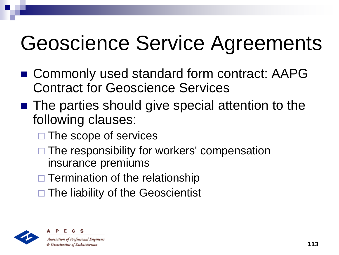# Geoscience Service Agreements

- Commonly used standard form contract: AAPG Contract for Geoscience Services
- The parties should give special attention to the following clauses:
	- $\square$  The scope of services
	- $\Box$  The responsibility for workers' compensation insurance premiums
	- $\Box$  Termination of the relationship
	- $\Box$  The liability of the Geoscientist



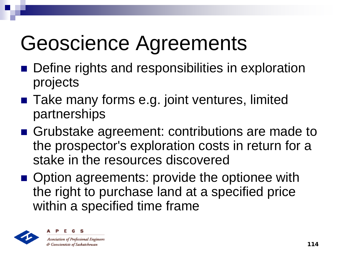# Geoscience Agreements

- Define rights and responsibilities in exploration projects
- Take many forms e.g. joint ventures, limited partnerships
- Grubstake agreement: contributions are made to the prospector's exploration costs in return for a stake in the resources discovered
- Option agreements: provide the optionee with the right to purchase land at a specified price within a specified time frame



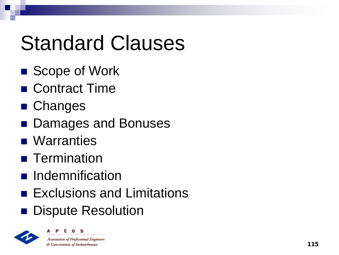# Standard Clauses

- Scope of Work
- Contract Time
- Changes
- Damages and Bonuses
- **Narranties**
- **Termination**
- **n** Indemnification
- **Exclusions and Limitations**
- **Dispute Resolution**

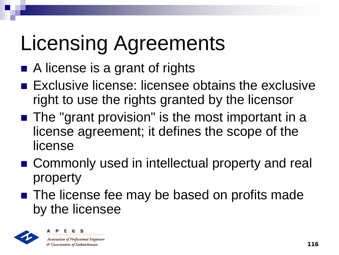# Licensing Agreements

- A license is a grant of rights
- **Exclusive license: licensee obtains the exclusive License** right to use the rights granted by the licensor
- The "grant provision" is the most important in a license agreement; it defines the scope of the license
- Commonly used in intellectual property and real property
- The license fee may be based on profits made by the licensee



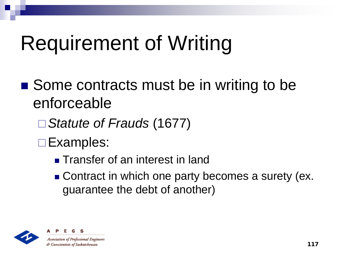# Requirement of Writing

- Some contracts must be in writing to be enforceable
	- *Statute of Frauds* (1677)
	- **□Examples:** 
		- **Transfer of an interest in land**
		- Contract in which one party becomes a surety (ex. guarantee the debt of another)



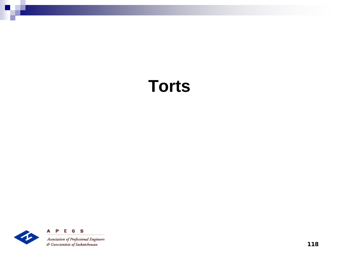#### **Torts**

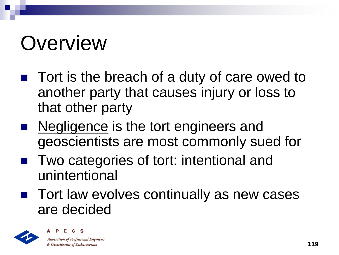# **Overview**

- Tort is the breach of a duty of care owed to another party that causes injury or loss to that other party
- Negligence is the tort engineers and geoscientists are most commonly sued for
- Two categories of tort: intentional and unintentional
- Tort law evolves continually as new cases are decided



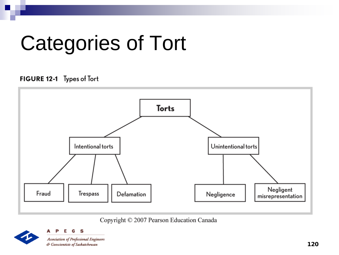#### Categories of Tort

#### FIGURE 12-1 Types of Tort



Copyright © 2007 Pearson Education Canada



G S **Association of Professional Engineers** & Geoscientists of Saskatchewan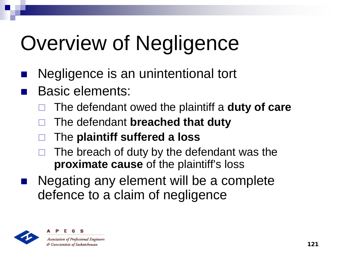# Overview of Negligence

- Negligence is an unintentional tort
- Basic elements:
	- The defendant owed the plaintiff a **duty of care**
	- The defendant **breached that duty**
	- The **plaintiff suffered a loss**
	- The breach of duty by the defendant was the **proximate cause** of the plaintiff's loss
- Negating any element will be a complete defence to a claim of negligence



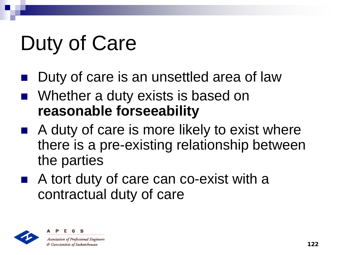# Duty of Care

- Duty of care is an unsettled area of law
- Whether a duty exists is based on **reasonable forseeability**
- A duty of care is more likely to exist where there is a pre-existing relationship between the parties
- A tort duty of care can co-exist with a contractual duty of care



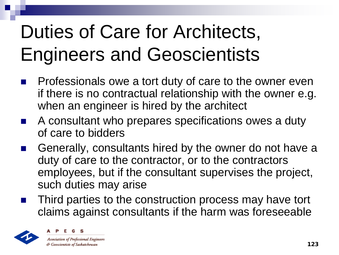#### Duties of Care for Architects, Engineers and Geoscientists

- Professionals owe a tort duty of care to the owner even if there is no contractual relationship with the owner e.g. when an engineer is hired by the architect
- A consultant who prepares specifications owes a duty of care to bidders
- Generally, consultants hired by the owner do not have a duty of care to the contractor, or to the contractors employees, but if the consultant supervises the project, such duties may arise
- Third parties to the construction process may have tort claims against consultants if the harm was foreseeable



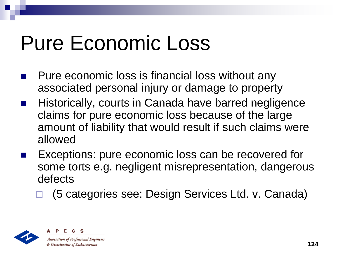#### Pure Economic Loss

- Pure economic loss is financial loss without any associated personal injury or damage to property
- Historically, courts in Canada have barred negligence claims for pure economic loss because of the large amount of liability that would result if such claims were allowed
- Exceptions: pure economic loss can be recovered for some torts e.g. negligent misrepresentation, dangerous defects
	- (5 categories see: Design Services Ltd. v. Canada)



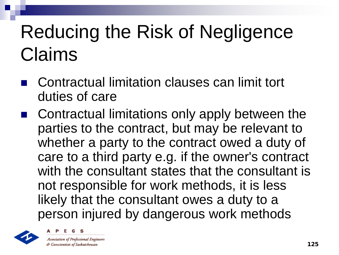#### Reducing the Risk of Negligence Claims

- Contractual limitation clauses can limit tort duties of care
- Contractual limitations only apply between the parties to the contract, but may be relevant to whether a party to the contract owed a duty of care to a third party e.g. if the owner's contract with the consultant states that the consultant is not responsible for work methods, it is less likely that the consultant owes a duty to a person injured by dangerous work methods





& Geoscientists of Saskatchewan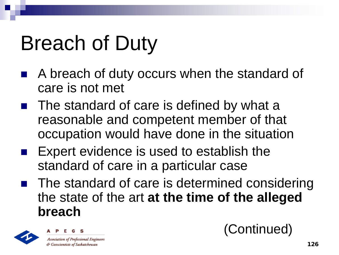#### Breach of Duty

- A breach of duty occurs when the standard of care is not met
- The standard of care is defined by what a reasonable and competent member of that occupation would have done in the situation
- Expert evidence is used to establish the standard of care in a particular case
- The standard of care is determined considering the state of the art **at the time of the alleged breach**



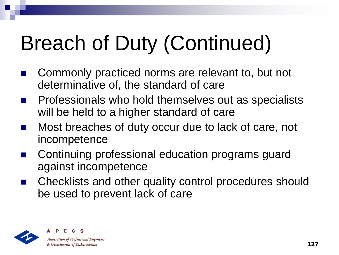# Breach of Duty (Continued)

- Commonly practiced norms are relevant to, but not determinative of, the standard of care
- Professionals who hold themselves out as specialists will be held to a higher standard of care
- Most breaches of duty occur due to lack of care, not incompetence
- Continuing professional education programs guard against incompetence
- Checklists and other quality control procedures should be used to prevent lack of care



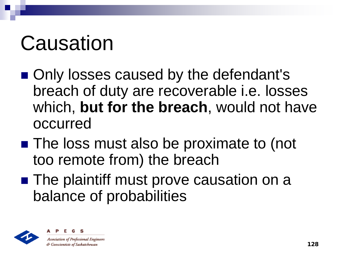# Causation

- Only losses caused by the defendant's breach of duty are recoverable i.e. losses which, **but for the breach**, would not have occurred
- The loss must also be proximate to (not too remote from) the breach
- The plaintiff must prove causation on a balance of probabilities



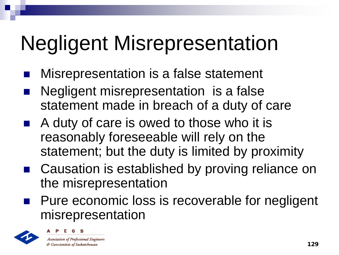# Negligent Misrepresentation

- Misrepresentation is a false statement
- Negligent misrepresentation is a false statement made in breach of a duty of care
- A duty of care is owed to those who it is reasonably foreseeable will rely on the statement; but the duty is limited by proximity
- Causation is established by proving reliance on the misrepresentation
- **Pure economic loss is recoverable for negligent** misrepresentation



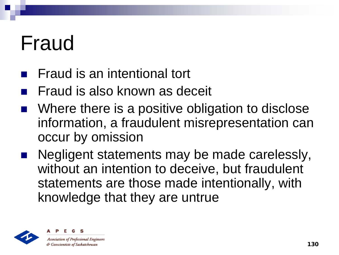#### Fraud

- Fraud is an intentional tort
- Fraud is also known as deceit
- Where there is a positive obligation to disclose information, a fraudulent misrepresentation can occur by omission
- Negligent statements may be made carelessly, without an intention to deceive, but fraudulent statements are those made intentionally, with knowledge that they are untrue



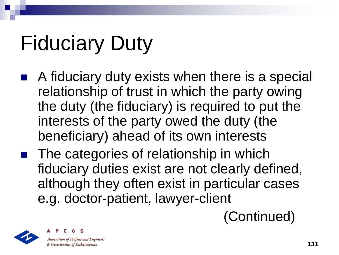# Fiduciary Duty

- A fiduciary duty exists when there is a special relationship of trust in which the party owing the duty (the fiduciary) is required to put the interests of the party owed the duty (the beneficiary) ahead of its own interests
- The categories of relationship in which fiduciary duties exist are not clearly defined, although they often exist in particular cases e.g. doctor-patient, lawyer-client

(Continued)



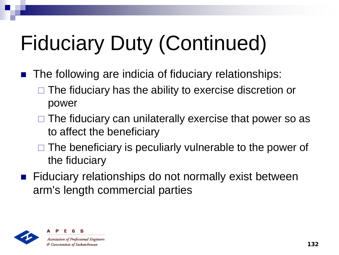# Fiduciary Duty (Continued)

- The following are indicia of fiduciary relationships:
	- The fiduciary has the ability to exercise discretion or power
	- $\Box$  The fiduciary can unilaterally exercise that power so as to affect the beneficiary
	- $\Box$  The beneficiary is peculiarly vulnerable to the power of the fiduciary
- Fiduciary relationships do not normally exist between arm's length commercial parties



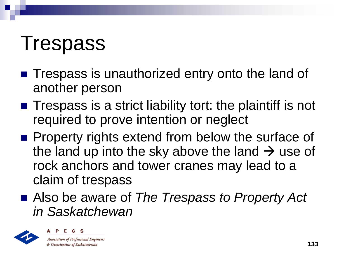#### Trespass

- **Trespass is unauthorized entry onto the land of** another person
- $\blacksquare$  Trespass is a strict liability tort: the plaintiff is not required to prove intention or neglect
- **Property rights extend from below the surface of** the land up into the sky above the land  $\rightarrow$  use of rock anchors and tower cranes may lead to a claim of trespass
- Also be aware of *The Trespass to Property Act in Saskatchewan*



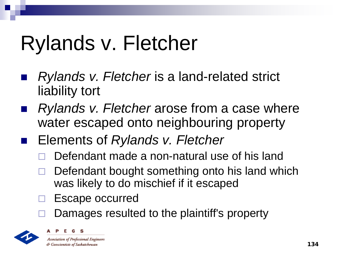# Rylands v. Fletcher

- *Rylands v. Fletcher* is a land-related strict liability tort
- *Rylands v. Fletcher* arose from a case where water escaped onto neighbouring property
	- Elements of *Rylands v. Fletcher*
		- Defendant made a non-natural use of his land
		- Defendant bought something onto his land which was likely to do mischief if it escaped
		- Escape occurred
		- Damages resulted to the plaintiff's property



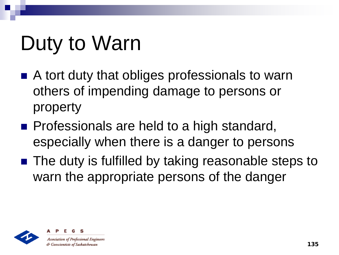# Duty to Warn

- A tort duty that obliges professionals to warn others of impending damage to persons or property
- **Professionals are held to a high standard,** especially when there is a danger to persons
- The duty is fulfilled by taking reasonable steps to warn the appropriate persons of the danger



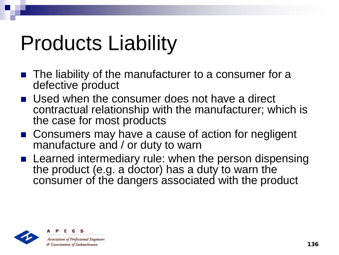#### Products Liability

- **The liability of the manufacturer to a consumer for a** defective product
- Used when the consumer does not have a direct contractual relationship with the manufacturer; which is the case for most products
- Consumers may have a cause of action for negligent manufacture and / or duty to warn
- **E** Learned intermediary rule: when the person dispensing the product (e.g. a doctor) has a duty to warn the consumer of the dangers associated with the product



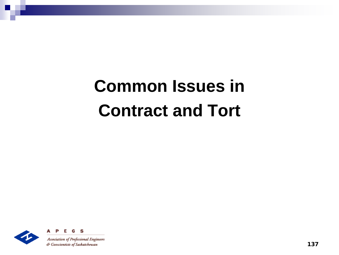#### **Common Issues in Contract and Tort**

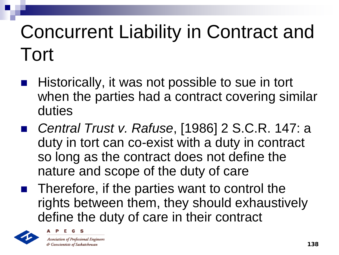#### Concurrent Liability in Contract and Tort

- Historically, it was not possible to sue in tort when the parties had a contract covering similar duties
- *Central Trust v. Rafuse*, [1986] 2 S.C.R. 147: a duty in tort can co-exist with a duty in contract so long as the contract does not define the nature and scope of the duty of care
- $\blacksquare$  Therefore, if the parties want to control the rights between them, they should exhaustively define the duty of care in their contract



**Association of Professional Engineers** & Geoscientists of Saskatchewan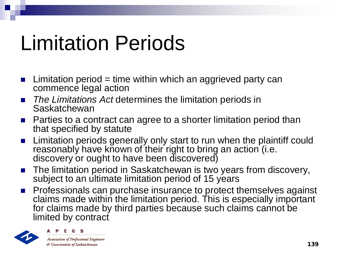#### Limitation Periods

- **E** Limitation period = time within which an aggrieved party can commence legal action
- *The Limitations Act* determines the limitation periods in Saskatchewan
- Parties to a contract can agree to a shorter limitation period than that specified by statute
- **E** Limitation periods generally only start to run when the plaintiff could reasonably have known of their right to bring an action (i.e. discovery or ought to have been discovered)
- The limitation period in Saskatchewan is two years from discovery, subject to an ultimate limitation period of 15 years
- **Professionals can purchase insurance to protect themselves against** claims made within the limitation period. This is especially important for claims made by third parties because such claims cannot be limited by contract



**Association of Professional Engineers** & Geoscientists of Saskatchewan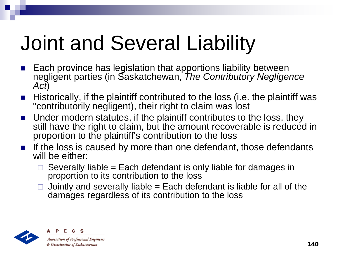# Joint and Several Liability

- Each province has legislation that apportions liability between negligent parties (in Saskatchewan, *The Contributory Negligence Act*)
- $\blacksquare$  Historically, if the plaintiff contributed to the loss (i.e. the plaintiff was "contributorily negligent), their right to claim was lost
- Under modern statutes, if the plaintiff contributes to the loss, they still have the right to claim, but the amount recoverable is reduced in proportion to the plaintiff's contribution to the loss
- If the loss is caused by more than one defendant, those defendants will be either:
	- Severally liable = Each defendant is only liable for damages in proportion to its contribution to the loss
	- Jointly and severally liable = Each defendant is liable for all of the damages regardless of its contribution to the loss



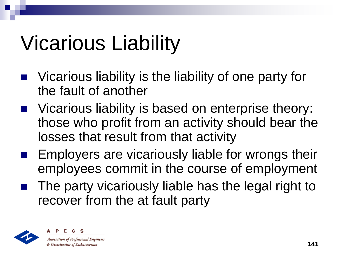# Vicarious Liability

- Vicarious liability is the liability of one party for the fault of another
- Vicarious liability is based on enterprise theory: those who profit from an activity should bear the losses that result from that activity
- Employers are vicariously liable for wrongs their employees commit in the course of employment
- The party vicariously liable has the legal right to recover from the at fault party



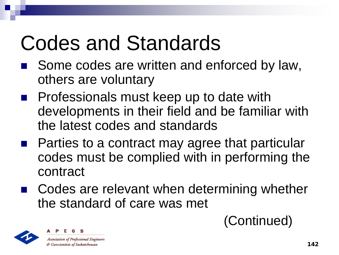# Codes and Standards

- Some codes are written and enforced by law, others are voluntary
- Professionals must keep up to date with developments in their field and be familiar with the latest codes and standards
- Parties to a contract may agree that particular codes must be complied with in performing the contract
- Codes are relevant when determining whether the standard of care was met



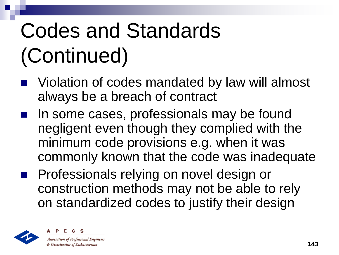# Codes and Standards (Continued)

- Violation of codes mandated by law will almost always be a breach of contract
- In some cases, professionals may be found negligent even though they complied with the minimum code provisions e.g. when it was commonly known that the code was inadequate
- Professionals relying on novel design or construction methods may not be able to rely on standardized codes to justify their design



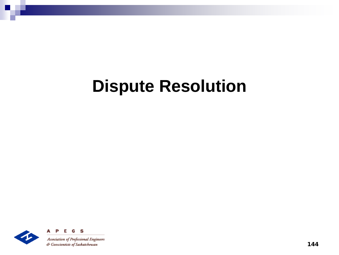#### **Dispute Resolution**

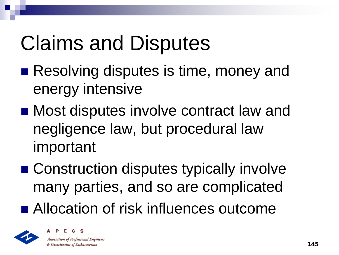# Claims and Disputes

- Resolving disputes is time, money and energy intensive
- Most disputes involve contract law and negligence law, but procedural law important
- Construction disputes typically involve many parties, and so are complicated
- Allocation of risk influences outcome



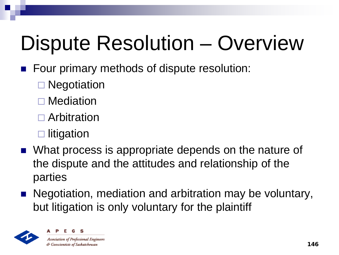# Dispute Resolution – Overview

- **Four primary methods of dispute resolution:** 
	- **□ Negotiation**
	- □ Mediation
	- □ Arbitration
	- $\square$  litigation
- What process is appropriate depends on the nature of the dispute and the attitudes and relationship of the parties
- Negotiation, mediation and arbitration may be voluntary, but litigation is only voluntary for the plaintiff



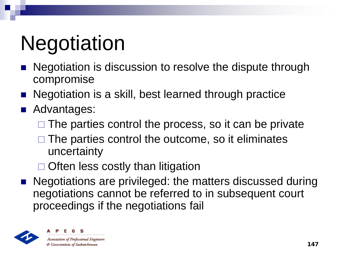# **Negotiation**

- Negotiation is discussion to resolve the dispute through compromise
- Negotiation is a skill, best learned through practice
- **Advantages:** 
	- $\Box$  The parties control the process, so it can be private
	- $\Box$  The parties control the outcome, so it eliminates uncertainty
	- $\Box$  Often less costly than litigation
- **Negotiations are privileged: the matters discussed during** negotiations cannot be referred to in subsequent court proceedings if the negotiations fail



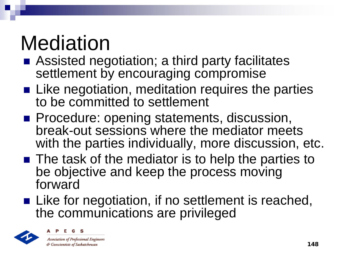# Mediation

- Assisted negotiation; a third party facilitates settlement by encouraging compromise
- Like negotiation, meditation requires the parties to be committed to settlement
- **Procedure: opening statements, discussion,** break-out sessions where the mediator meets with the parties individually, more discussion, etc.
- The task of the mediator is to help the parties to be objective and keep the process moving forward
- Like for negotiation, if no settlement is reached, the communications are privileged



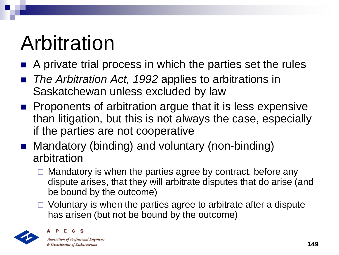## Arbitration

- A private trial process in which the parties set the rules
- *The Arbitration Act, 1992* applies to arbitrations in Saskatchewan unless excluded by law
- **Proponents of arbitration argue that it is less expensive** than litigation, but this is not always the case, especially if the parties are not cooperative
- Mandatory (binding) and voluntary (non-binding) arbitration
	- $\Box$  Mandatory is when the parties agree by contract, before any dispute arises, that they will arbitrate disputes that do arise (and be bound by the outcome)
	- $\Box$  Voluntary is when the parties agree to arbitrate after a dispute has arisen (but not be bound by the outcome)



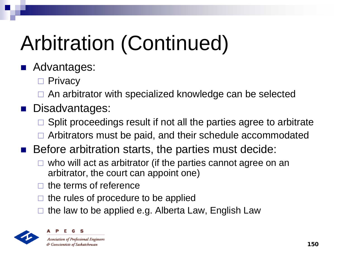# Arbitration (Continued)

#### **Advantages:**

- □ Privacy
- □ An arbitrator with specialized knowledge can be selected

#### **Disadvantages:**

- Split proceedings result if not all the parties agree to arbitrate
- $\Box$  Arbitrators must be paid, and their schedule accommodated
- Before arbitration starts, the parties must decide:
	- $\Box$  who will act as arbitrator (if the parties cannot agree on an arbitrator, the court can appoint one)
	- the terms of reference
	- the rules of procedure to be applied
	- the law to be applied e.g. Alberta Law, English Law

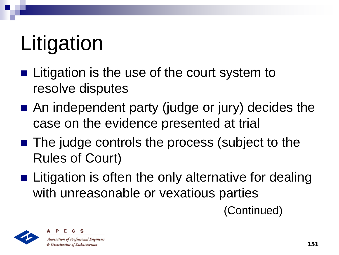# Litigation

- **Litigation is the use of the court system to** resolve disputes
- An independent party (judge or jury) decides the case on the evidence presented at trial
- The judge controls the process (subject to the Rules of Court)
- **Example 2** Litigation is often the only alternative for dealing with unreasonable or vexatious parties

(Continued)



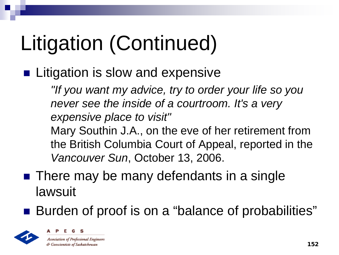# Litigation (Continued)

■ Litigation is slow and expensive

*"If you want my advice, try to order your life so you never see the inside of a courtroom. It's a very expensive place to visit"*  Mary Southin J.A., on the eve of her retirement from the British Columbia Court of Appeal, reported in the *Vancouver Sun*, October 13, 2006.

- There may be many defendants in a single lawsuit
- Burden of proof is on a "balance of probabilities"



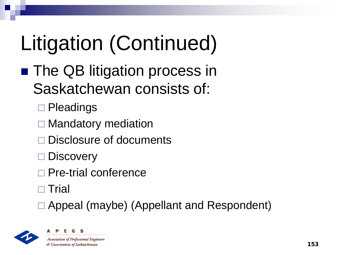# Litigation (Continued)

- **The QB litigation process in** Saskatchewan consists of:
	- **□ Pleadings**
	- $\Box$  Mandatory mediation
	- Disclosure of documents
	- □ Discovery
	- Pre-trial conference
	- $\Box$  Trial
	- Appeal (maybe) (Appellant and Respondent)



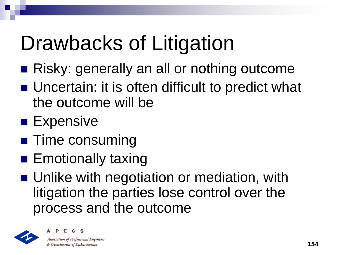# Drawbacks of Litigation

- Risky: generally an all or nothing outcome
- Uncertain: it is often difficult to predict what the outcome will be
- **Expensive**
- **Time consuming**
- **Emotionally taxing**
- **Unlike with negotiation or mediation, with** litigation the parties lose control over the process and the outcome

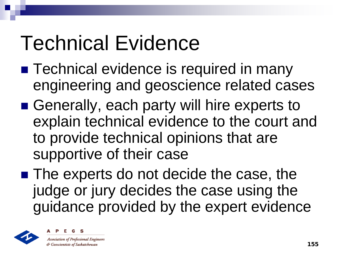# Technical Evidence

- **Technical evidence is required in many** engineering and geoscience related cases
- Generally, each party will hire experts to explain technical evidence to the court and to provide technical opinions that are supportive of their case
- The experts do not decide the case, the judge or jury decides the case using the guidance provided by the expert evidence



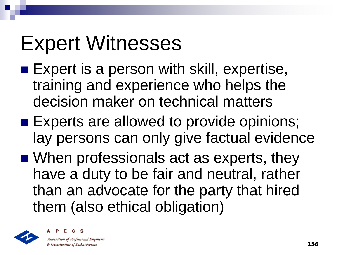# Expert Witnesses

- **Expert is a person with skill, expertise,** training and experience who helps the decision maker on technical matters
- Experts are allowed to provide opinions; lay persons can only give factual evidence
- When professionals act as experts, they have a duty to be fair and neutral, rather than an advocate for the party that hired them (also ethical obligation)



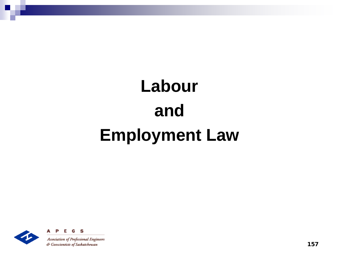## **Labour and Employment Law**



S

157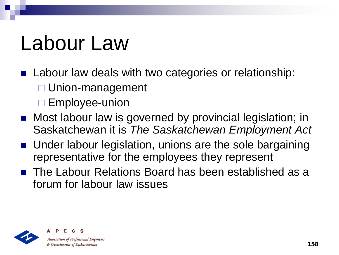# Labour Law

- **Labour law deals with two categories or relationship:**  Union-management
	- $\square$  Employee-union
- Most labour law is governed by provincial legislation; in Saskatchewan it is *The Saskatchewan Employment Act*
- Under labour legislation, unions are the sole bargaining representative for the employees they represent
- The Labour Relations Board has been established as a forum for labour law issues



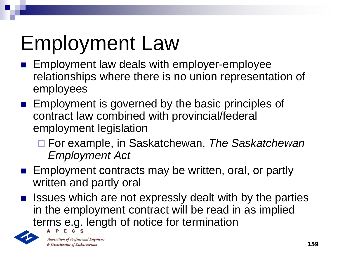# Employment Law

- **Employment law deals with employer-employee** relationships where there is no union representation of employees
- **Employment is governed by the basic principles of** contract law combined with provincial/federal employment legislation
	- For example, in Saskatchewan, *The Saskatchewan Employment Act*
- **Employment contracts may be written, oral, or partly** written and partly oral
- **If** Issues which are not expressly dealt with by the parties in the employment contract will be read in as implied terms e.g. length of notice for termination



**Association of Professional Engineers** & Geoscientists of Saskatchewan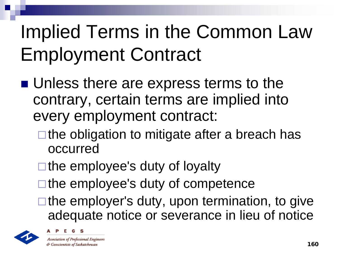#### Implied Terms in the Common Law Employment Contract

- Unless there are express terms to the contrary, certain terms are implied into every employment contract:
	- $\square$  the obligation to mitigate after a breach has occurred
	- $\square$  the employee's duty of loyalty
	- $\Box$  the employee's duty of competence
	- $\Box$  the employer's duty, upon termination, to give adequate notice or severance in lieu of notice





**Association of Professional Engineers** & Geoscientists of Saskatchewan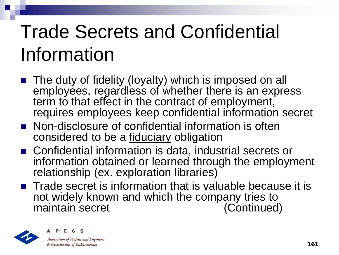#### Trade Secrets and Confidential Information

- The duty of fidelity (loyalty) which is imposed on all employees, regardless of whether there is an express term to that effect in the contract of employment, requires employees keep confidential information secret
- **Non-disclosure of confidential information is often** considered to be a fiduciary obligation
- Confidential information is data, industrial secrets or information obtained or learned through the employment relationship (ex. exploration libraries)
- $\blacksquare$  Trade secret is information that is valuable because it is not widely known and which the company tries to<br>maintain secret (Continued) maintain secret



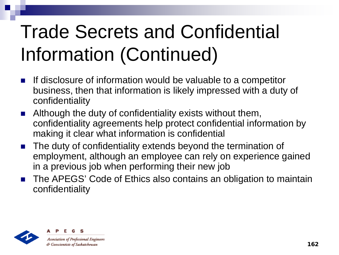#### Trade Secrets and Confidential Information (Continued)

- **If disclosure of information would be valuable to a competitor** business, then that information is likely impressed with a duty of confidentiality
- **E** Although the duty of confidentiality exists without them, confidentiality agreements help protect confidential information by making it clear what information is confidential
- The duty of confidentiality extends beyond the termination of employment, although an employee can rely on experience gained in a previous job when performing their new job
- The APEGS' Code of Ethics also contains an obligation to maintain confidentiality

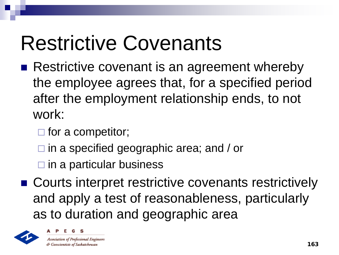## Restrictive Covenants

- Restrictive covenant is an agreement whereby the employee agrees that, for a specified period after the employment relationship ends, to not work:
	- $\Box$  for a competitor;
	- □ in a specified geographic area; and / or
	- $\square$  in a particular business
- Courts interpret restrictive covenants restrictively and apply a test of reasonableness, particularly as to duration and geographic area



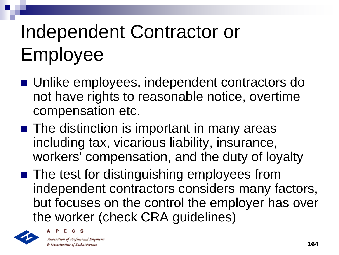### Independent Contractor or Employee

- Unlike employees, independent contractors do not have rights to reasonable notice, overtime compensation etc.
- The distinction is important in many areas including tax, vicarious liability, insurance, workers' compensation, and the duty of loyalty
- The test for distinguishing employees from independent contractors considers many factors, but focuses on the control the employer has over the worker (check CRA guidelines)





**Association of Professional Engineers** & Geoscientists of Saskatchewan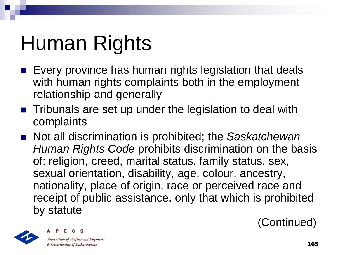# Human Rights

- $\blacksquare$  Every province has human rights legislation that deals with human rights complaints both in the employment relationship and generally
- Tribunals are set up under the legislation to deal with complaints
- Not all discrimination is prohibited; the Saskatchewan *Human Rights Code* prohibits discrimination on the basis of: religion, creed, marital status, family status, sex, sexual orientation, disability, age, colour, ancestry, nationality, place of origin, race or perceived race and receipt of public assistance. only that which is prohibited by statute

(Continued)



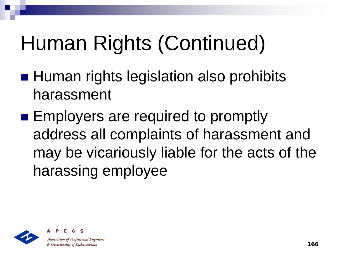# Human Rights (Continued)

- **Human rights legislation also prohibits** harassment
- **Employers are required to promptly** address all complaints of harassment and may be vicariously liable for the acts of the harassing employee



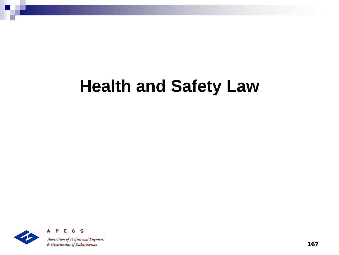#### **Health and Safety Law**



167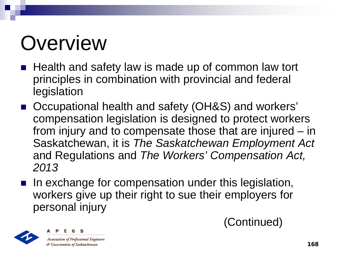# **Overview**

- Health and safety law is made up of common law tort principles in combination with provincial and federal legislation
- Occupational health and safety (OH&S) and workers' compensation legislation is designed to protect workers from injury and to compensate those that are injured – in Saskatchewan, it is *The Saskatchewan Employment Act* and Regulations and *The Workers' Compensation Act, 2013*
- In exchange for compensation under this legislation, workers give up their right to sue their employers for personal injury



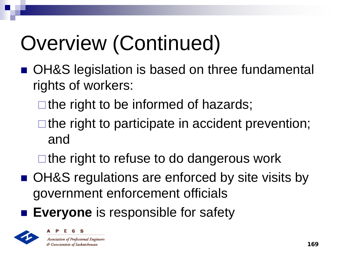# Overview (Continued)

- OH&S legislation is based on three fundamental rights of workers:
	- $\Box$  the right to be informed of hazards;
	- $\Box$  the right to participate in accident prevention; and
	- $\square$  the right to refuse to do dangerous work
- OH&S regulations are enforced by site visits by government enforcement officials
- **Everyone** is responsible for safety



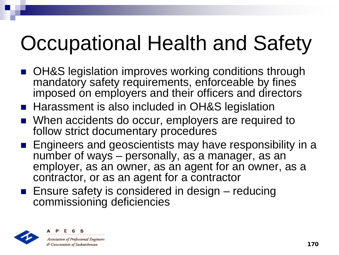# Occupational Health and Safety

- OH&S legislation improves working conditions through mandatory safety requirements, enforceable by fines imposed on employers and their officers and directors
- Harassment is also included in OH&S legislation
- When accidents do occur, employers are required to follow strict documentary procedures
- **Engineers and geoscientists may have responsibility in a** number of ways – personally, as a manager, as an employer, as an owner, as an agent for an owner, as a contractor, or as an agent for a contractor
- **Ensure safety is considered in design reducing** commissioning deficiencies



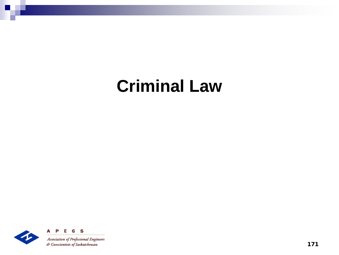#### **Criminal Law**

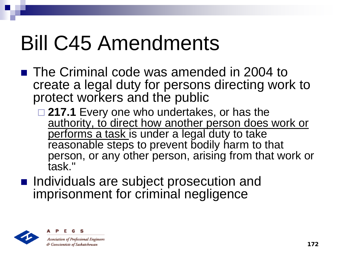### Bill C45 Amendments

- The Criminal code was amended in 2004 to create a legal duty for persons directing work to protect workers and the public
	- **217.1** Every one who undertakes, or has the authority, to direct how another person does work or performs a task is under a legal duty to take reasonable steps to prevent bodily harm to that person, or any other person, arising from that work or task."
- **Individuals are subject prosecution and** imprisonment for criminal negligence





& Geoscientists of Saskatchewan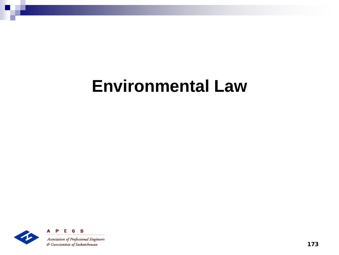#### **Environmental Law**

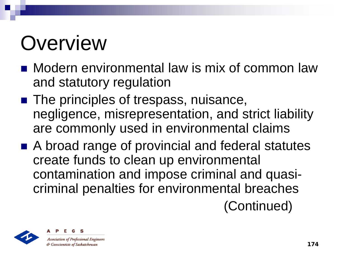# **Overview**

- Modern environmental law is mix of common law and statutory regulation
- The principles of trespass, nuisance, negligence, misrepresentation, and strict liability are commonly used in environmental claims
- A broad range of provincial and federal statutes create funds to clean up environmental contamination and impose criminal and quasicriminal penalties for environmental breaches

(Continued)



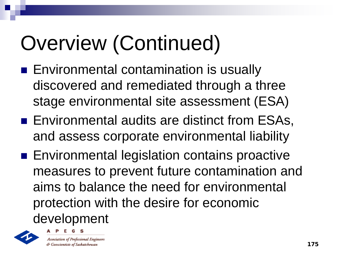# Overview (Continued)

- **Environmental contamination is usually** discovered and remediated through a three stage environmental site assessment (ESA)
- Environmental audits are distinct from ESAs, and assess corporate environmental liability
- **Environmental legislation contains proactive** measures to prevent future contamination and aims to balance the need for environmental protection with the desire for economic development



**Association of Professional Engineers** & Geoscientists of Saskatchewan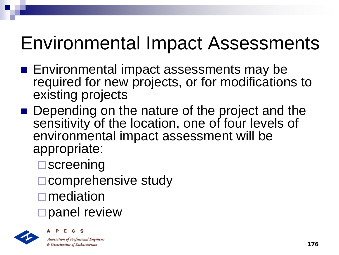#### Environmental Impact Assessments

- Environmental impact assessments may be required for new projects, or for modifications to existing projects
- Depending on the nature of the project and the sensitivity of the location, one of four levels of environmental impact assessment will be appropriate:
	- **□**screening
	- □ comprehensive study
	- **□** mediation
	- □ panel review



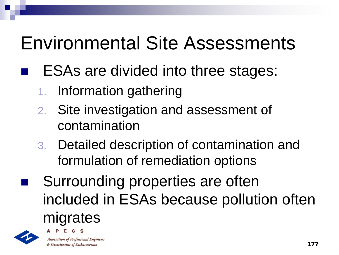#### Environmental Site Assessments

#### ESAs are divided into three stages:

- 1. Information gathering
- 2. Site investigation and assessment of contamination
- 3. Detailed description of contamination and formulation of remediation options
- Surrounding properties are often included in ESAs because pollution often migrates



**Association of Professional Engineers** & Geoscientists of Saskatchewan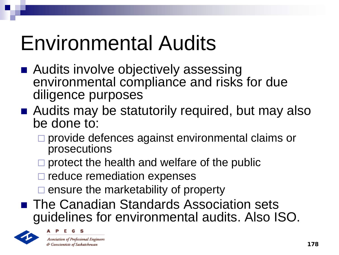# Environmental Audits

- Audits involve objectively assessing environmental compliance and risks for due diligence purposes
- Audits may be statutorily required, but may also be done to:
	- □ provide defences against environmental claims or prosecutions
	- $\Box$  protect the health and welfare of the public
	- $\square$  reduce remediation expenses
	- $\square$  ensure the marketability of property
- The Canadian Standards Association sets guidelines for environmental audits. Also ISO.



**Association of Professional Engineers** & Geoscientists of Saskatchewan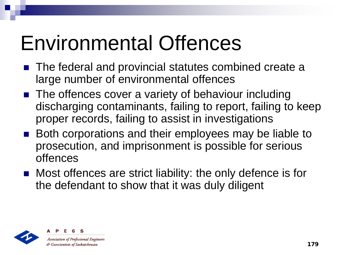## Environmental Offences

- The federal and provincial statutes combined create a large number of environmental offences
- The offences cover a variety of behaviour including discharging contaminants, failing to report, failing to keep proper records, failing to assist in investigations
- Both corporations and their employees may be liable to prosecution, and imprisonment is possible for serious offences
- Most offences are strict liability: the only defence is for the defendant to show that it was duly diligent



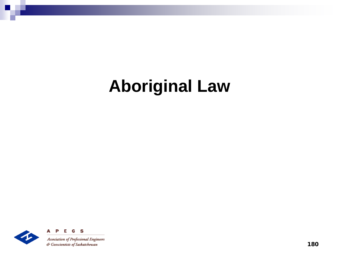#### **Aboriginal Law**

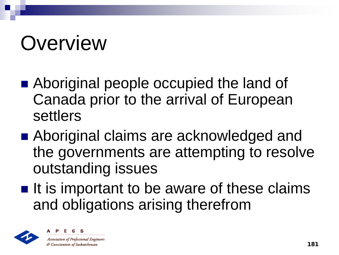# **Overview**

- Aboriginal people occupied the land of Canada prior to the arrival of European settlers
- Aboriginal claims are acknowledged and the governments are attempting to resolve outstanding issues
- $\blacksquare$  It is important to be aware of these claims and obligations arising therefrom



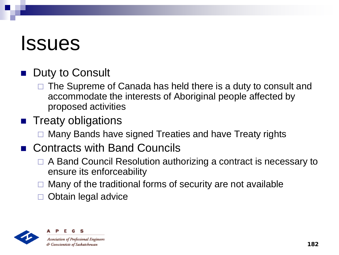### **Issues**

### Duty to Consult

 The Supreme of Canada has held there is a duty to consult and accommodate the interests of Aboriginal people affected by proposed activities

#### **Treaty obligations**

Many Bands have signed Treaties and have Treaty rights

#### ■ Contracts with Band Councils

- □ A Band Council Resolution authorizing a contract is necessary to ensure its enforceability
- Many of the traditional forms of security are not available
- Obtain legal advice



**Association of Professional Engineers** & Geoscientists of Saskatchewan